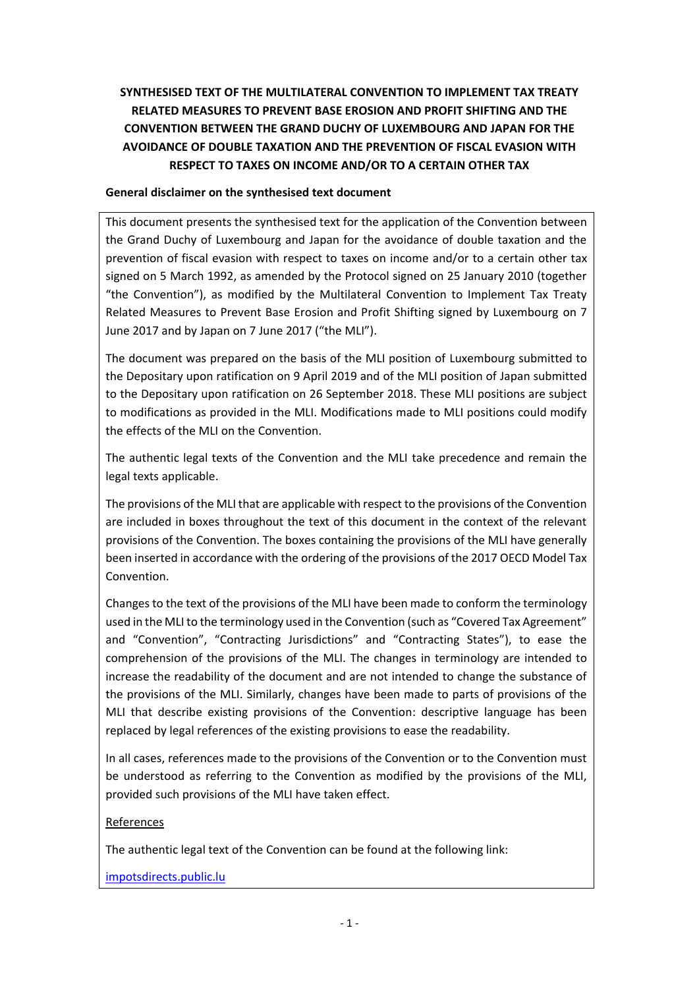# **SYNTHESISED TEXT OF THE MULTILATERAL CONVENTION TO IMPLEMENT TAX TREATY RELATED MEASURES TO PREVENT BASE EROSION AND PROFIT SHIFTING AND THE CONVENTION BETWEEN THE GRAND DUCHY OF LUXEMBOURG AND JAPAN FOR THE AVOIDANCE OF DOUBLE TAXATION AND THE PREVENTION OF FISCAL EVASION WITH RESPECT TO TAXES ON INCOME AND/OR TO A CERTAIN OTHER TAX**

## **General disclaimer on the synthesised text document**

This document presents the synthesised text for the application of the Convention between the Grand Duchy of Luxembourg and Japan for the avoidance of double taxation and the prevention of fiscal evasion with respect to taxes on income and/or to a certain other tax signed on 5 March 1992, as amended by the Protocol signed on 25 January 2010 (together "the Convention"), as modified by the Multilateral Convention to Implement Tax Treaty Related Measures to Prevent Base Erosion and Profit Shifting signed by Luxembourg on 7 June 2017 and by Japan on 7 June 2017 ("the MLI").

The document was prepared on the basis of the MLI position of Luxembourg submitted to the Depositary upon ratification on 9 April 2019 and of the MLI position of Japan submitted to the Depositary upon ratification on 26 September 2018. These MLI positions are subject to modifications as provided in the MLI. Modifications made to MLI positions could modify the effects of the MLI on the Convention.

The authentic legal texts of the Convention and the MLI take precedence and remain the legal texts applicable.

The provisions of the MLI that are applicable with respect to the provisions of the Convention are included in boxes throughout the text of this document in the context of the relevant provisions of the Convention. The boxes containing the provisions of the MLI have generally been inserted in accordance with the ordering of the provisions of the 2017 OECD Model Tax Convention.

Changes to the text of the provisions of the MLI have been made to conform the terminology used in the MLI to the terminology used in the Convention (such as "Covered Tax Agreement" and "Convention", "Contracting Jurisdictions" and "Contracting States"), to ease the comprehension of the provisions of the MLI. The changes in terminology are intended to increase the readability of the document and are not intended to change the substance of the provisions of the MLI. Similarly, changes have been made to parts of provisions of the MLI that describe existing provisions of the Convention: descriptive language has been replaced by legal references of the existing provisions to ease the readability.

In all cases, references made to the provisions of the Convention or to the Convention must be understood as referring to the Convention as modified by the provisions of the MLI, provided such provisions of the MLI have taken effect.

### References

The authentic legal text of the Convention can be found at the following link:

[impotsdirects.public.lu](https://impotsdirects.public.lu/fr.html)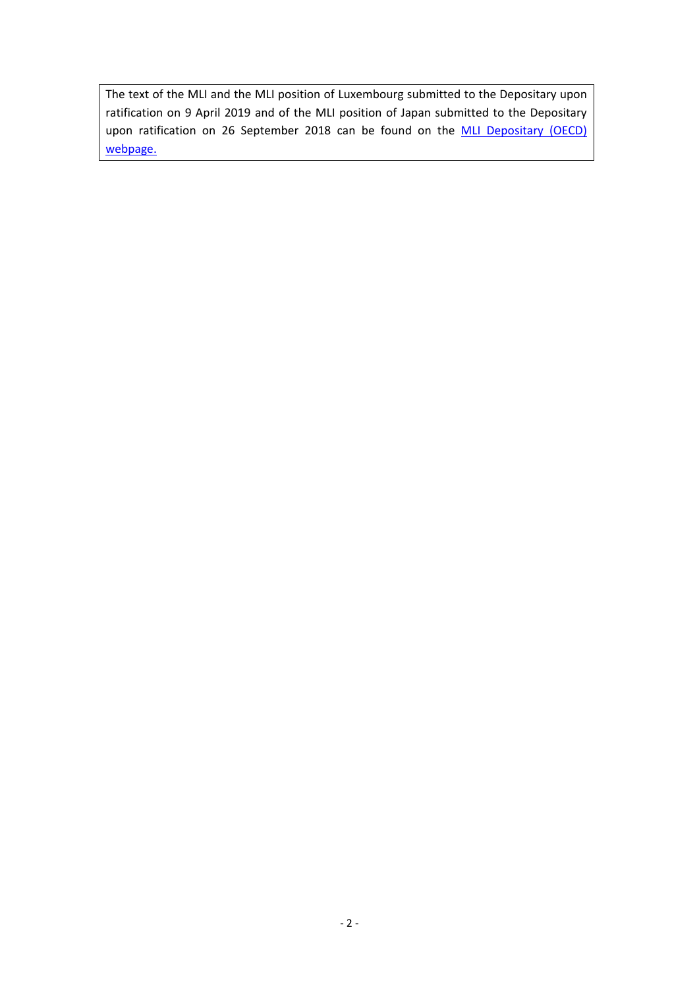The text of the MLI and the MLI position of Luxembourg submitted to the Depositary upon ratification on 9 April 2019 and of the MLI position of Japan submitted to the Depositary upon ratification on 26 September 2018 can be found on the **MLI Depositary (OECD)** [webpage.](https://www.oecd.org/tax/treaties/multilateral-convention-to-implement-tax-treaty-related-measures-to-prevent-beps.htm)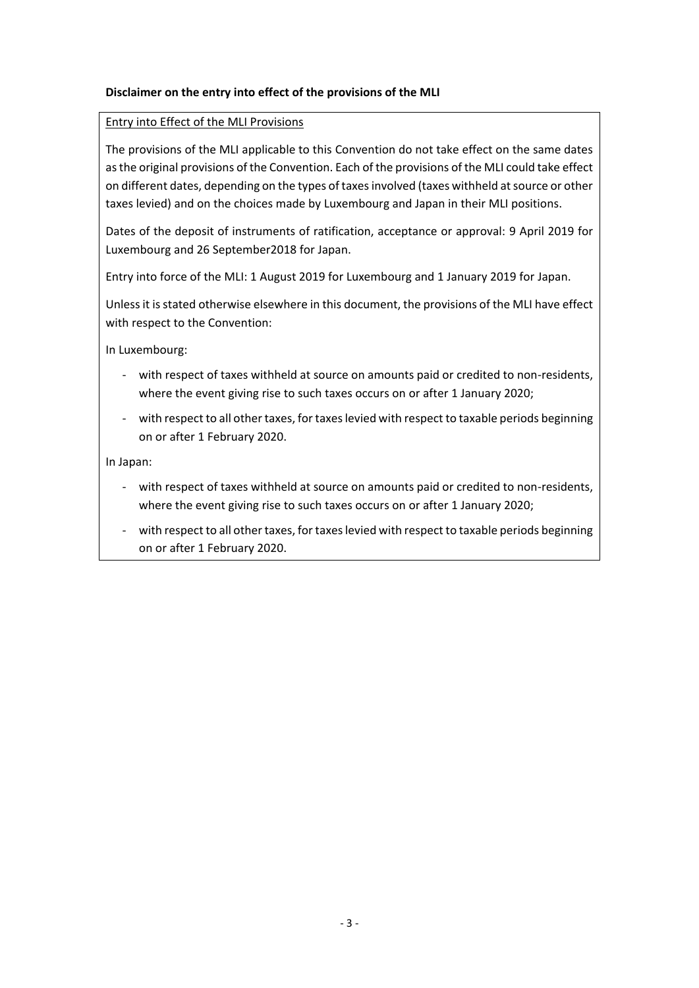## **Disclaimer on the entry into effect of the provisions of the MLI**

### Entry into Effect of the MLI Provisions

The provisions of the MLI applicable to this Convention do not take effect on the same dates as the original provisions of the Convention. Each of the provisions of the MLI could take effect on different dates, depending on the types of taxes involved (taxes withheld at source or other taxes levied) and on the choices made by Luxembourg and Japan in their MLI positions.

Dates of the deposit of instruments of ratification, acceptance or approval: 9 April 2019 for Luxembourg and 26 September2018 for Japan.

Entry into force of the MLI: 1 August 2019 for Luxembourg and 1 January 2019 for Japan.

Unless it is stated otherwise elsewhere in this document, the provisions of the MLI have effect with respect to the Convention:

In Luxembourg:

- with respect of taxes withheld at source on amounts paid or credited to non-residents, where the event giving rise to such taxes occurs on or after 1 January 2020;
- with respect to all other taxes, for taxes levied with respect to taxable periods beginning on or after 1 February 2020.

In Japan:

- with respect of taxes withheld at source on amounts paid or credited to non-residents, where the event giving rise to such taxes occurs on or after 1 January 2020;
- with respect to all other taxes, for taxes levied with respect to taxable periods beginning on or after 1 February 2020.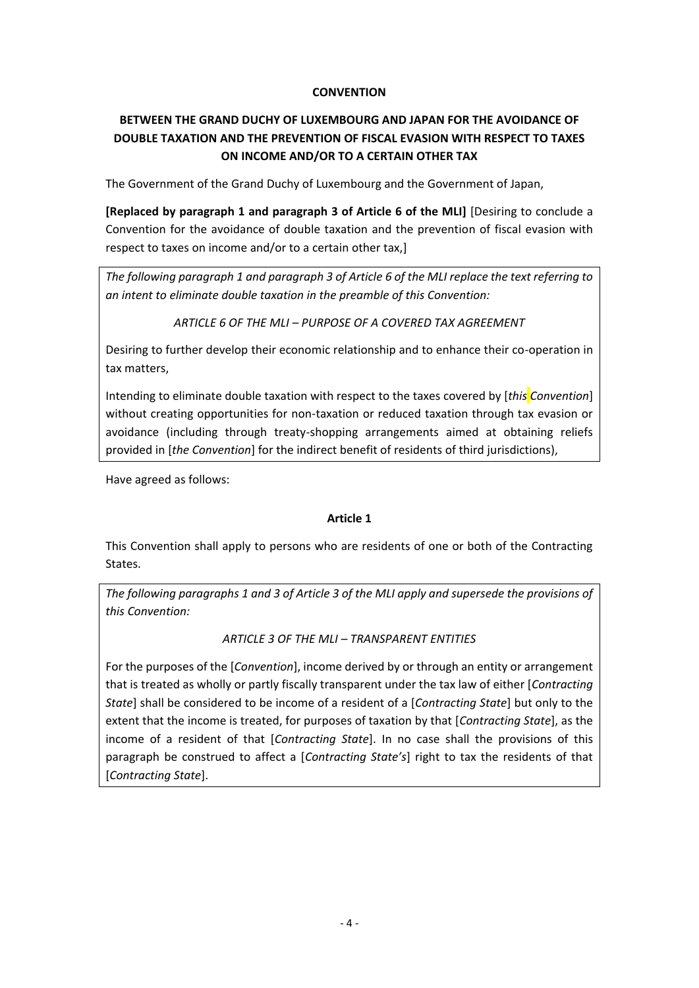## **CONVENTION**

# **BETWEEN THE GRAND DUCHY OF LUXEMBOURG AND JAPAN FOR THE AVOIDANCE OF DOUBLE TAXATION AND THE PREVENTION OF FISCAL EVASION WITH RESPECT TO TAXES ON INCOME AND/OR TO A CERTAIN OTHER TAX**

The Government of the Grand Duchy of Luxembourg and the Government of Japan,

**[Replaced by paragraph 1 and paragraph 3 of Article 6 of the MLI]** [Desiring to conclude a Convention for the avoidance of double taxation and the prevention of fiscal evasion with respect to taxes on income and/or to a certain other tax,]

*The following paragraph 1 and paragraph 3 of Article 6 of the MLI replace the text referring to an intent to eliminate double taxation in the preamble of this Convention:*

*ARTICLE 6 OF THE MLI – PURPOSE OF A COVERED TAX AGREEMENT*

Desiring to further develop their economic relationship and to enhance their co-operation in tax matters,

Intending to eliminate double taxation with respect to the taxes covered by [*this Convention*] without creating opportunities for non-taxation or reduced taxation through tax evasion or avoidance (including through treaty-shopping arrangements aimed at obtaining reliefs provided in [*the Convention*] for the indirect benefit of residents of third jurisdictions),

Have agreed as follows:

### **Article 1**

This Convention shall apply to persons who are residents of one or both of the Contracting States.

*The following paragraphs 1 and 3 of Article 3 of the MLI apply and supersede the provisions of this Convention:*

### *ARTICLE 3 OF THE MLI – TRANSPARENT ENTITIES*

For the purposes of the [*Convention*], income derived by or through an entity or arrangement that is treated as wholly or partly fiscally transparent under the tax law of either [*Contracting State*] shall be considered to be income of a resident of a [*Contracting State*] but only to the extent that the income is treated, for purposes of taxation by that [*Contracting State*], as the income of a resident of that [*Contracting State*]. In no case shall the provisions of this paragraph be construed to affect a [*Contracting State's*] right to tax the residents of that [*Contracting State*].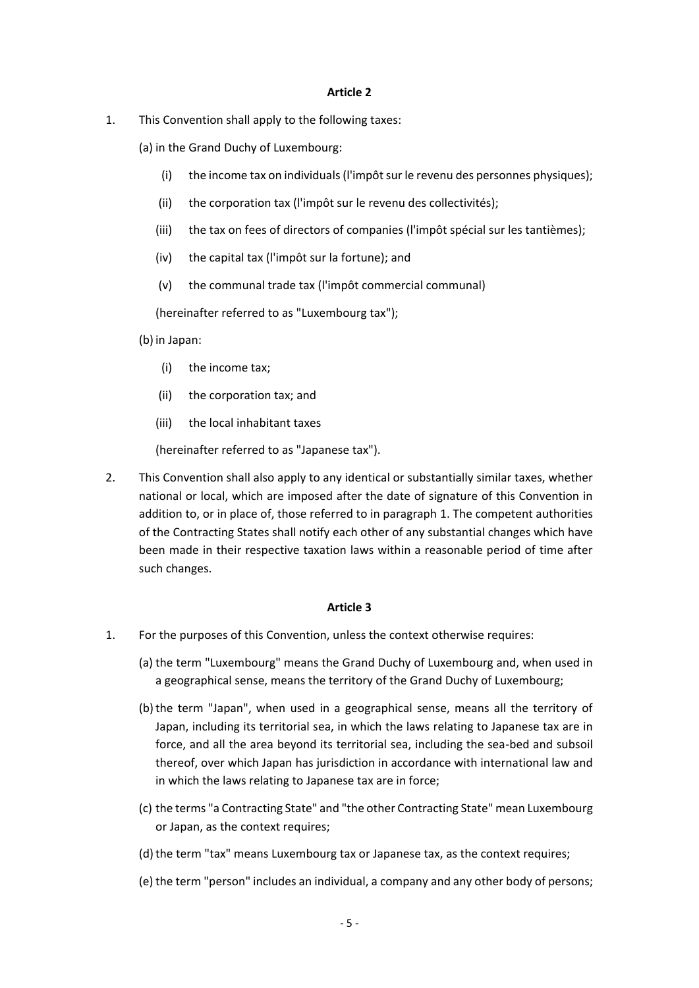1. This Convention shall apply to the following taxes:

(a) in the Grand Duchy of Luxembourg:

- (i) the income tax on individuals (l'impôt sur le revenu des personnes physiques);
- (ii) the corporation tax (l'impôt sur le revenu des collectivités);
- (iii) the tax on fees of directors of companies (l'impôt spécial sur les tantièmes);
- (iv) the capital tax (l'impôt sur la fortune); and
- (v) the communal trade tax (l'impôt commercial communal)

(hereinafter referred to as "Luxembourg tax");

(b) in Japan:

- (i) the income tax;
- (ii) the corporation tax; and
- (iii) the local inhabitant taxes

(hereinafter referred to as "Japanese tax").

2. This Convention shall also apply to any identical or substantially similar taxes, whether national or local, which are imposed after the date of signature of this Convention in addition to, or in place of, those referred to in paragraph 1. The competent authorities of the Contracting States shall notify each other of any substantial changes which have been made in their respective taxation laws within a reasonable period of time after such changes.

- 1. For the purposes of this Convention, unless the context otherwise requires:
	- (a) the term "Luxembourg" means the Grand Duchy of Luxembourg and, when used in a geographical sense, means the territory of the Grand Duchy of Luxembourg;
	- (b)the term "Japan", when used in a geographical sense, means all the territory of Japan, including its territorial sea, in which the laws relating to Japanese tax are in force, and all the area beyond its territorial sea, including the sea-bed and subsoil thereof, over which Japan has jurisdiction in accordance with international law and in which the laws relating to Japanese tax are in force;
	- (c) the terms "a Contracting State" and "the other Contracting State" mean Luxembourg or Japan, as the context requires;
	- (d) the term "tax" means Luxembourg tax or Japanese tax, as the context requires;
	- (e) the term "person" includes an individual, a company and any other body of persons;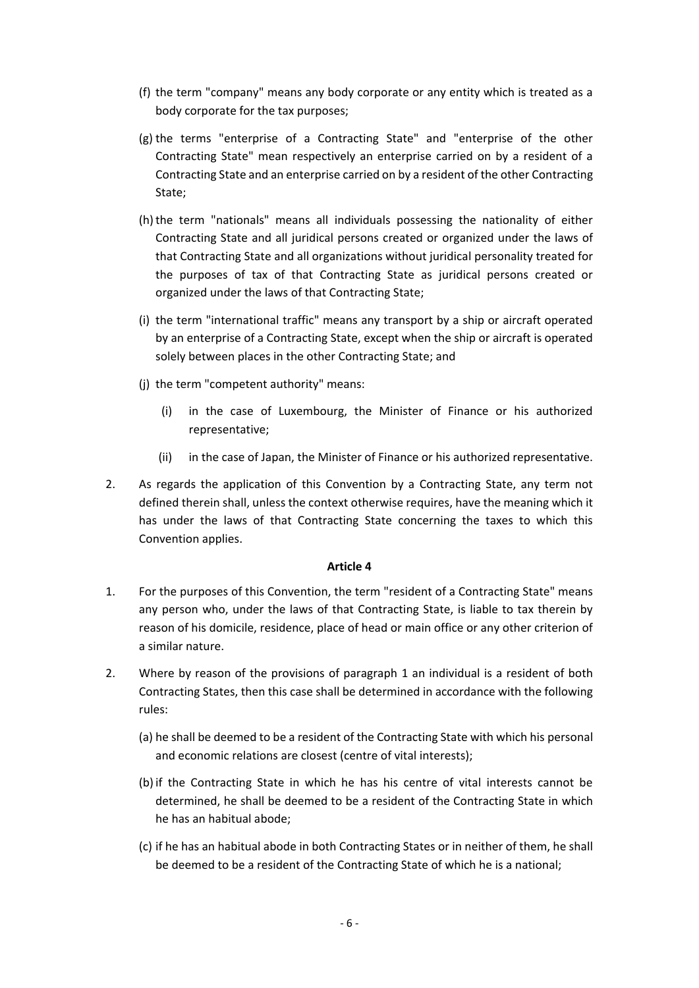- (f) the term "company" means any body corporate or any entity which is treated as a body corporate for the tax purposes;
- (g) the terms "enterprise of a Contracting State" and "enterprise of the other Contracting State" mean respectively an enterprise carried on by a resident of a Contracting State and an enterprise carried on by a resident of the other Contracting State;
- (h)the term "nationals" means all individuals possessing the nationality of either Contracting State and all juridical persons created or organized under the laws of that Contracting State and all organizations without juridical personality treated for the purposes of tax of that Contracting State as juridical persons created or organized under the laws of that Contracting State;
- (i) the term "international traffic" means any transport by a ship or aircraft operated by an enterprise of a Contracting State, except when the ship or aircraft is operated solely between places in the other Contracting State; and
- (j) the term "competent authority" means:
	- (i) in the case of Luxembourg, the Minister of Finance or his authorized representative;
	- (ii) in the case of Japan, the Minister of Finance or his authorized representative.
- 2. As regards the application of this Convention by a Contracting State, any term not defined therein shall, unless the context otherwise requires, have the meaning which it has under the laws of that Contracting State concerning the taxes to which this Convention applies.

- 1. For the purposes of this Convention, the term "resident of a Contracting State" means any person who, under the laws of that Contracting State, is liable to tax therein by reason of his domicile, residence, place of head or main office or any other criterion of a similar nature.
- 2. Where by reason of the provisions of paragraph 1 an individual is a resident of both Contracting States, then this case shall be determined in accordance with the following rules:
	- (a) he shall be deemed to be a resident of the Contracting State with which his personal and economic relations are closest (centre of vital interests);
	- (b) if the Contracting State in which he has his centre of vital interests cannot be determined, he shall be deemed to be a resident of the Contracting State in which he has an habitual abode;
	- (c) if he has an habitual abode in both Contracting States or in neither of them, he shall be deemed to be a resident of the Contracting State of which he is a national;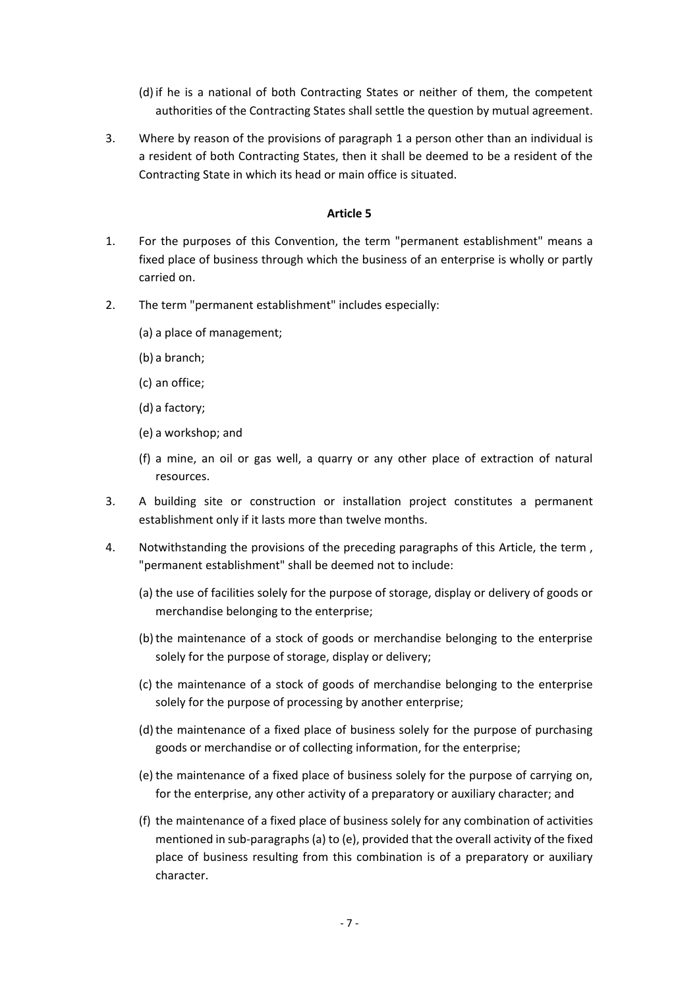- (d) if he is a national of both Contracting States or neither of them, the competent authorities of the Contracting States shall settle the question by mutual agreement.
- 3. Where by reason of the provisions of paragraph 1 a person other than an individual is a resident of both Contracting States, then it shall be deemed to be a resident of the Contracting State in which its head or main office is situated.

- 1. For the purposes of this Convention, the term "permanent establishment" means a fixed place of business through which the business of an enterprise is wholly or partly carried on.
- 2. The term "permanent establishment" includes especially:
	- (a) a place of management;
	- (b) a branch;
	- (c) an office;
	- (d) a factory;
	- (e) a workshop; and
	- (f) a mine, an oil or gas well, a quarry or any other place of extraction of natural resources.
- 3. A building site or construction or installation project constitutes a permanent establishment only if it lasts more than twelve months.
- 4. Notwithstanding the provisions of the preceding paragraphs of this Article, the term, "permanent establishment" shall be deemed not to include:
	- (a) the use of facilities solely for the purpose of storage, display or delivery of goods or merchandise belonging to the enterprise;
	- (b)the maintenance of a stock of goods or merchandise belonging to the enterprise solely for the purpose of storage, display or delivery;
	- (c) the maintenance of a stock of goods of merchandise belonging to the enterprise solely for the purpose of processing by another enterprise;
	- (d) the maintenance of a fixed place of business solely for the purpose of purchasing goods or merchandise or of collecting information, for the enterprise;
	- (e) the maintenance of a fixed place of business solely for the purpose of carrying on, for the enterprise, any other activity of a preparatory or auxiliary character; and
	- (f) the maintenance of a fixed place of business solely for any combination of activities mentioned in sub-paragraphs (a) to (e), provided that the overall activity of the fixed place of business resulting from this combination is of a preparatory or auxiliary character.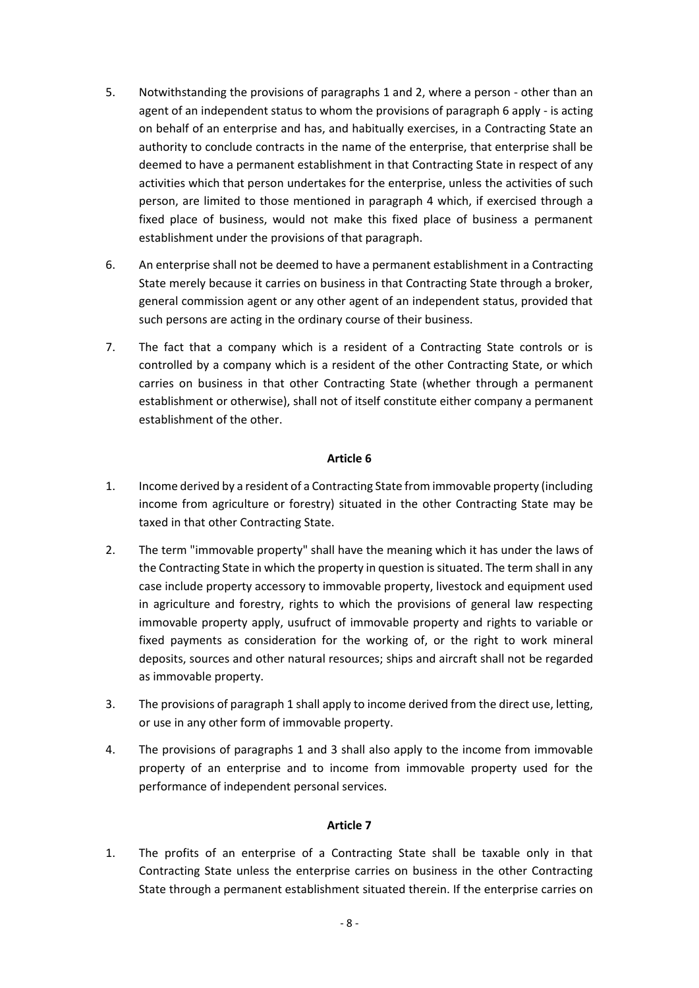- 5. Notwithstanding the provisions of paragraphs 1 and 2, where a person other than an agent of an independent status to whom the provisions of paragraph 6 apply - is acting on behalf of an enterprise and has, and habitually exercises, in a Contracting State an authority to conclude contracts in the name of the enterprise, that enterprise shall be deemed to have a permanent establishment in that Contracting State in respect of any activities which that person undertakes for the enterprise, unless the activities of such person, are limited to those mentioned in paragraph 4 which, if exercised through a fixed place of business, would not make this fixed place of business a permanent establishment under the provisions of that paragraph.
- 6. An enterprise shall not be deemed to have a permanent establishment in a Contracting State merely because it carries on business in that Contracting State through a broker, general commission agent or any other agent of an independent status, provided that such persons are acting in the ordinary course of their business.
- 7. The fact that a company which is a resident of a Contracting State controls or is controlled by a company which is a resident of the other Contracting State, or which carries on business in that other Contracting State (whether through a permanent establishment or otherwise), shall not of itself constitute either company a permanent establishment of the other.

- 1. Income derived by a resident of a Contracting State from immovable property (including income from agriculture or forestry) situated in the other Contracting State may be taxed in that other Contracting State.
- 2. The term "immovable property" shall have the meaning which it has under the laws of the Contracting State in which the property in question is situated. The term shall in any case include property accessory to immovable property, livestock and equipment used in agriculture and forestry, rights to which the provisions of general law respecting immovable property apply, usufruct of immovable property and rights to variable or fixed payments as consideration for the working of, or the right to work mineral deposits, sources and other natural resources; ships and aircraft shall not be regarded as immovable property.
- 3. The provisions of paragraph 1 shall apply to income derived from the direct use, letting, or use in any other form of immovable property.
- 4. The provisions of paragraphs 1 and 3 shall also apply to the income from immovable property of an enterprise and to income from immovable property used for the performance of independent personal services.

# **Article 7**

1. The profits of an enterprise of a Contracting State shall be taxable only in that Contracting State unless the enterprise carries on business in the other Contracting State through a permanent establishment situated therein. If the enterprise carries on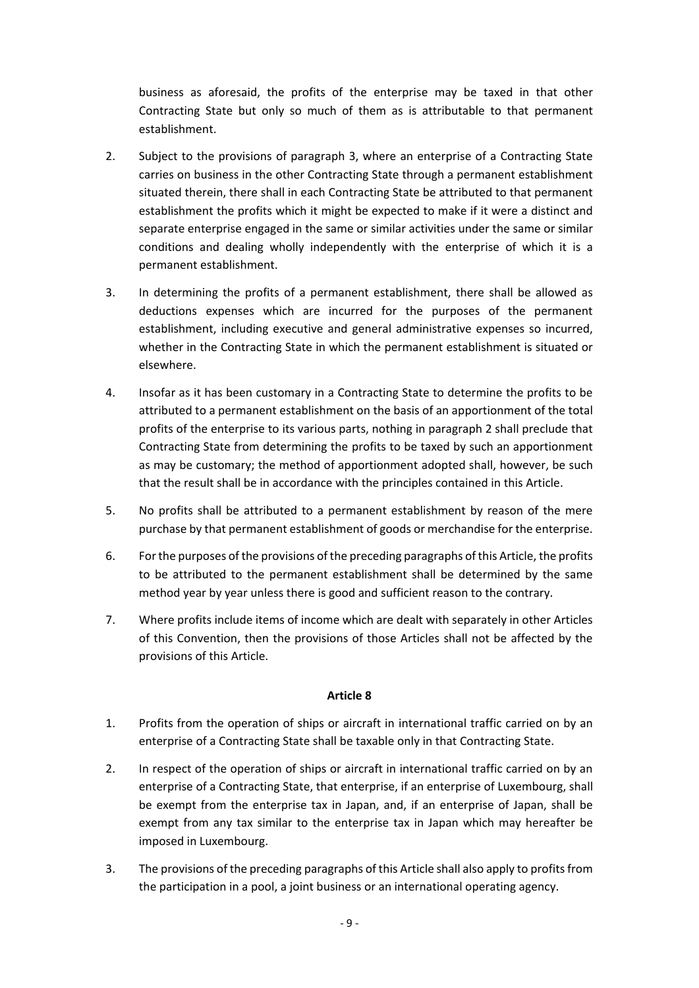business as aforesaid, the profits of the enterprise may be taxed in that other Contracting State but only so much of them as is attributable to that permanent establishment.

- 2. Subject to the provisions of paragraph 3, where an enterprise of a Contracting State carries on business in the other Contracting State through a permanent establishment situated therein, there shall in each Contracting State be attributed to that permanent establishment the profits which it might be expected to make if it were a distinct and separate enterprise engaged in the same or similar activities under the same or similar conditions and dealing wholly independently with the enterprise of which it is a permanent establishment.
- 3. In determining the profits of a permanent establishment, there shall be allowed as deductions expenses which are incurred for the purposes of the permanent establishment, including executive and general administrative expenses so incurred, whether in the Contracting State in which the permanent establishment is situated or elsewhere.
- 4. Insofar as it has been customary in a Contracting State to determine the profits to be attributed to a permanent establishment on the basis of an apportionment of the total profits of the enterprise to its various parts, nothing in paragraph 2 shall preclude that Contracting State from determining the profits to be taxed by such an apportionment as may be customary; the method of apportionment adopted shall, however, be such that the result shall be in accordance with the principles contained in this Article.
- 5. No profits shall be attributed to a permanent establishment by reason of the mere purchase by that permanent establishment of goods or merchandise for the enterprise.
- 6. For the purposes of the provisions of the preceding paragraphs of this Article, the profits to be attributed to the permanent establishment shall be determined by the same method year by year unless there is good and sufficient reason to the contrary.
- 7. Where profits include items of income which are dealt with separately in other Articles of this Convention, then the provisions of those Articles shall not be affected by the provisions of this Article.

- 1. Profits from the operation of ships or aircraft in international traffic carried on by an enterprise of a Contracting State shall be taxable only in that Contracting State.
- 2. In respect of the operation of ships or aircraft in international traffic carried on by an enterprise of a Contracting State, that enterprise, if an enterprise of Luxembourg, shall be exempt from the enterprise tax in Japan, and, if an enterprise of Japan, shall be exempt from any tax similar to the enterprise tax in Japan which may hereafter be imposed in Luxembourg.
- 3. The provisions of the preceding paragraphs of this Article shall also apply to profits from the participation in a pool, a joint business or an international operating agency.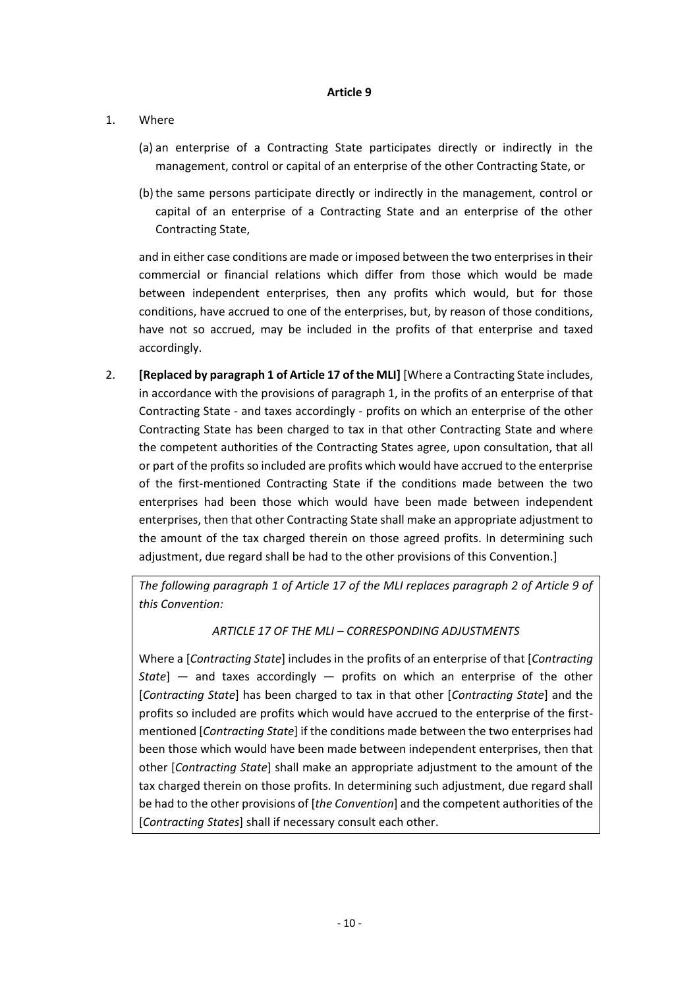# 1. Where

- (a) an enterprise of a Contracting State participates directly or indirectly in the management, control or capital of an enterprise of the other Contracting State, or
- (b)the same persons participate directly or indirectly in the management, control or capital of an enterprise of a Contracting State and an enterprise of the other Contracting State,

and in either case conditions are made or imposed between the two enterprises in their commercial or financial relations which differ from those which would be made between independent enterprises, then any profits which would, but for those conditions, have accrued to one of the enterprises, but, by reason of those conditions, have not so accrued, may be included in the profits of that enterprise and taxed accordingly.

2. **[Replaced by paragraph 1 of Article 17 of the MLI]** [Where a Contracting State includes, in accordance with the provisions of paragraph 1, in the profits of an enterprise of that Contracting State - and taxes accordingly - profits on which an enterprise of the other Contracting State has been charged to tax in that other Contracting State and where the competent authorities of the Contracting States agree, upon consultation, that all or part of the profits so included are profits which would have accrued to the enterprise of the first-mentioned Contracting State if the conditions made between the two enterprises had been those which would have been made between independent enterprises, then that other Contracting State shall make an appropriate adjustment to the amount of the tax charged therein on those agreed profits. In determining such adjustment, due regard shall be had to the other provisions of this Convention.]

*The following paragraph 1 of Article 17 of the MLI replaces paragraph 2 of Article 9 of this Convention:* 

*ARTICLE 17 OF THE MLI – CORRESPONDING ADJUSTMENTS*

Where a [*Contracting State*] includes in the profits of an enterprise of that [*Contracting State*] — and taxes accordingly — profits on which an enterprise of the other [*Contracting State*] has been charged to tax in that other [*Contracting State*] and the profits so included are profits which would have accrued to the enterprise of the firstmentioned [*Contracting State*] if the conditions made between the two enterprises had been those which would have been made between independent enterprises, then that other [*Contracting State*] shall make an appropriate adjustment to the amount of the tax charged therein on those profits. In determining such adjustment, due regard shall be had to the other provisions of [*the Convention*] and the competent authorities of the [*Contracting States*] shall if necessary consult each other.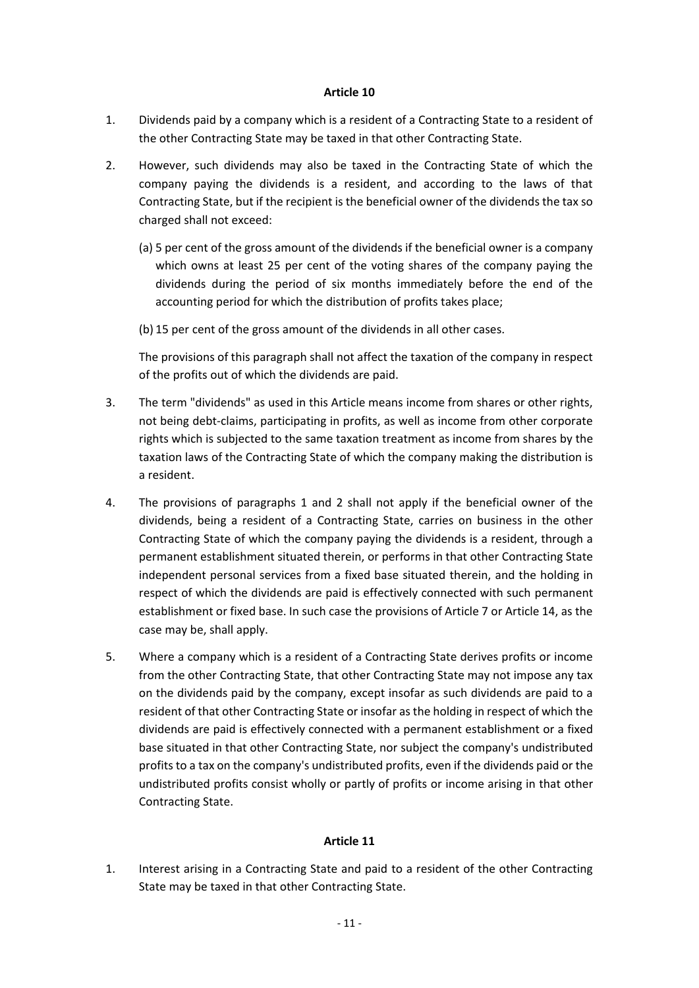- 1. Dividends paid by a company which is a resident of a Contracting State to a resident of the other Contracting State may be taxed in that other Contracting State.
- 2. However, such dividends may also be taxed in the Contracting State of which the company paying the dividends is a resident, and according to the laws of that Contracting State, but if the recipient is the beneficial owner of the dividends the tax so charged shall not exceed:
	- (a) 5 per cent of the gross amount of the dividends if the beneficial owner is a company which owns at least 25 per cent of the voting shares of the company paying the dividends during the period of six months immediately before the end of the accounting period for which the distribution of profits takes place;
	- (b) 15 per cent of the gross amount of the dividends in all other cases.

The provisions of this paragraph shall not affect the taxation of the company in respect of the profits out of which the dividends are paid.

- 3. The term "dividends" as used in this Article means income from shares or other rights, not being debt-claims, participating in profits, as well as income from other corporate rights which is subjected to the same taxation treatment as income from shares by the taxation laws of the Contracting State of which the company making the distribution is a resident.
- 4. The provisions of paragraphs 1 and 2 shall not apply if the beneficial owner of the dividends, being a resident of a Contracting State, carries on business in the other Contracting State of which the company paying the dividends is a resident, through a permanent establishment situated therein, or performs in that other Contracting State independent personal services from a fixed base situated therein, and the holding in respect of which the dividends are paid is effectively connected with such permanent establishment or fixed base. In such case the provisions of Article 7 or Article 14, as the case may be, shall apply.
- 5. Where a company which is a resident of a Contracting State derives profits or income from the other Contracting State, that other Contracting State may not impose any tax on the dividends paid by the company, except insofar as such dividends are paid to a resident of that other Contracting State or insofar as the holding in respect of which the dividends are paid is effectively connected with a permanent establishment or a fixed base situated in that other Contracting State, nor subject the company's undistributed profits to a tax on the company's undistributed profits, even if the dividends paid or the undistributed profits consist wholly or partly of profits or income arising in that other Contracting State.

### **Article 11**

1. Interest arising in a Contracting State and paid to a resident of the other Contracting State may be taxed in that other Contracting State.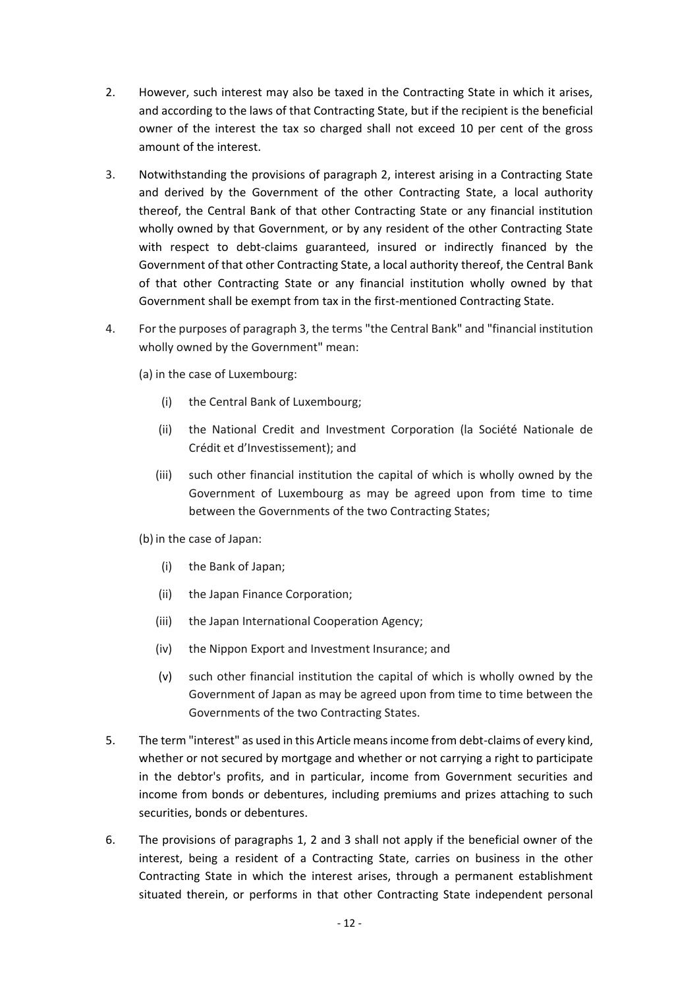- 2. However, such interest may also be taxed in the Contracting State in which it arises, and according to the laws of that Contracting State, but if the recipient is the beneficial owner of the interest the tax so charged shall not exceed 10 per cent of the gross amount of the interest.
- 3. Notwithstanding the provisions of paragraph 2, interest arising in a Contracting State and derived by the Government of the other Contracting State, a local authority thereof, the Central Bank of that other Contracting State or any financial institution wholly owned by that Government, or by any resident of the other Contracting State with respect to debt-claims guaranteed, insured or indirectly financed by the Government of that other Contracting State, a local authority thereof, the Central Bank of that other Contracting State or any financial institution wholly owned by that Government shall be exempt from tax in the first-mentioned Contracting State.
- 4. For the purposes of paragraph 3, the terms "the Central Bank" and "financial institution wholly owned by the Government" mean:
	- (a) in the case of Luxembourg:
		- (i) the Central Bank of Luxembourg;
		- (ii) the National Credit and Investment Corporation (la Société Nationale de Crédit et d'Investissement); and
		- (iii) such other financial institution the capital of which is wholly owned by the Government of Luxembourg as may be agreed upon from time to time between the Governments of the two Contracting States;
	- (b) in the case of Japan:
		- (i) the Bank of Japan;
		- (ii) the Japan Finance Corporation;
		- (iii) the Japan International Cooperation Agency;
		- (iv) the Nippon Export and Investment Insurance; and
		- (v) such other financial institution the capital of which is wholly owned by the Government of Japan as may be agreed upon from time to time between the Governments of the two Contracting States.
- 5. The term "interest" as used in this Article means income from debt-claims of every kind, whether or not secured by mortgage and whether or not carrying a right to participate in the debtor's profits, and in particular, income from Government securities and income from bonds or debentures, including premiums and prizes attaching to such securities, bonds or debentures.
- 6. The provisions of paragraphs 1, 2 and 3 shall not apply if the beneficial owner of the interest, being a resident of a Contracting State, carries on business in the other Contracting State in which the interest arises, through a permanent establishment situated therein, or performs in that other Contracting State independent personal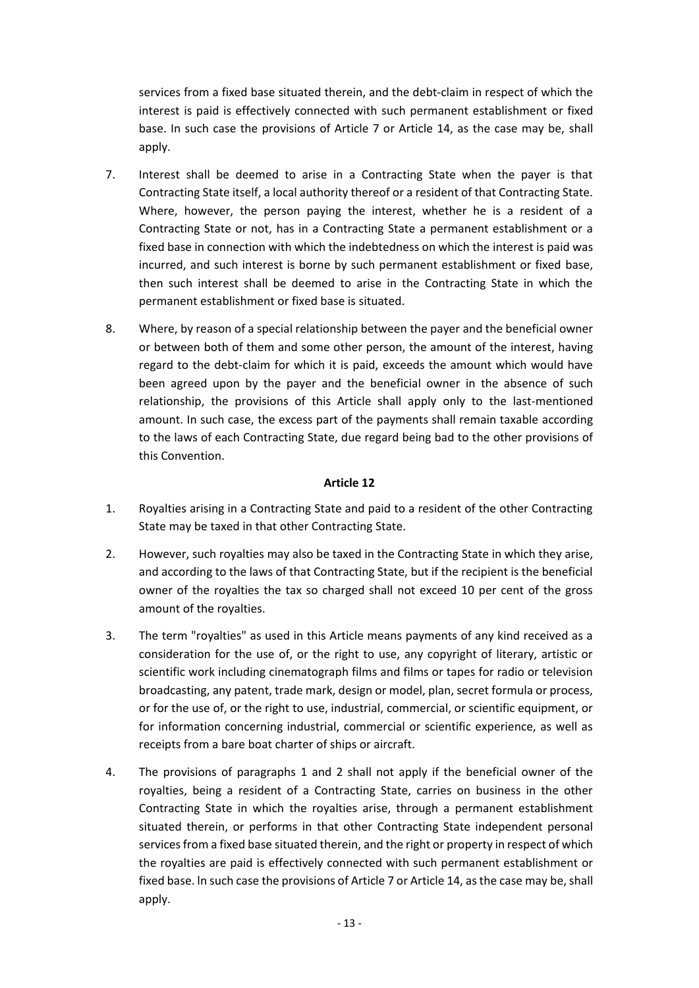services from a fixed base situated therein, and the debt-claim in respect of which the interest is paid is effectively connected with such permanent establishment or fixed base. In such case the provisions of Article 7 or Article 14, as the case may be, shall apply.

- 7. Interest shall be deemed to arise in a Contracting State when the payer is that Contracting State itself, a local authority thereof or a resident of that Contracting State. Where, however, the person paying the interest, whether he is a resident of a Contracting State or not, has in a Contracting State a permanent establishment or a fixed base in connection with which the indebtedness on which the interest is paid was incurred, and such interest is borne by such permanent establishment or fixed base, then such interest shall be deemed to arise in the Contracting State in which the permanent establishment or fixed base is situated.
- 8. Where, by reason of a special relationship between the payer and the beneficial owner or between both of them and some other person, the amount of the interest, having regard to the debt-claim for which it is paid, exceeds the amount which would have been agreed upon by the payer and the beneficial owner in the absence of such relationship, the provisions of this Article shall apply only to the last-mentioned amount. In such case, the excess part of the payments shall remain taxable according to the laws of each Contracting State, due regard being bad to the other provisions of this Convention.

- 1. Royalties arising in a Contracting State and paid to a resident of the other Contracting State may be taxed in that other Contracting State.
- 2. However, such royalties may also be taxed in the Contracting State in which they arise, and according to the laws of that Contracting State, but if the recipient is the beneficial owner of the royalties the tax so charged shall not exceed 10 per cent of the gross amount of the royalties.
- 3. The term "royalties" as used in this Article means payments of any kind received as a consideration for the use of, or the right to use, any copyright of literary, artistic or scientific work including cinematograph films and films or tapes for radio or television broadcasting, any patent, trade mark, design or model, plan, secret formula or process, or for the use of, or the right to use, industrial, commercial, or scientific equipment, or for information concerning industrial, commercial or scientific experience, as well as receipts from a bare boat charter of ships or aircraft.
- 4. The provisions of paragraphs 1 and 2 shall not apply if the beneficial owner of the royalties, being a resident of a Contracting State, carries on business in the other Contracting State in which the royalties arise, through a permanent establishment situated therein, or performs in that other Contracting State independent personal services from a fixed base situated therein, and the right or property in respect of which the royalties are paid is effectively connected with such permanent establishment or fixed base. ln such case the provisions of Article 7 or Article 14, as the case may be, shall apply.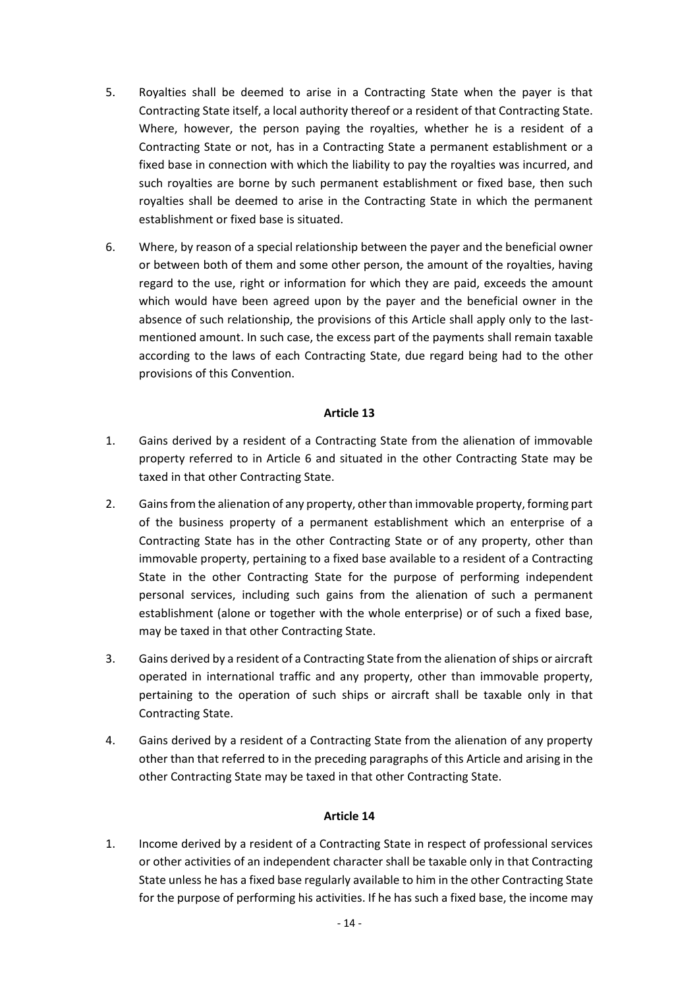- 5. Royalties shall be deemed to arise in a Contracting State when the payer is that Contracting State itself, a local authority thereof or a resident of that Contracting State. Where, however, the person paying the royalties, whether he is a resident of a Contracting State or not, has in a Contracting State a permanent establishment or a fixed base in connection with which the liability to pay the royalties was incurred, and such royalties are borne by such permanent establishment or fixed base, then such royalties shall be deemed to arise in the Contracting State in which the permanent establishment or fixed base is situated.
- 6. Where, by reason of a special relationship between the payer and the beneficial owner or between both of them and some other person, the amount of the royalties, having regard to the use, right or information for which they are paid, exceeds the amount which would have been agreed upon by the payer and the beneficial owner in the absence of such relationship, the provisions of this Article shall apply only to the lastmentioned amount. In such case, the excess part of the payments shall remain taxable according to the laws of each Contracting State, due regard being had to the other provisions of this Convention.

- 1. Gains derived by a resident of a Contracting State from the alienation of immovable property referred to in Article 6 and situated in the other Contracting State may be taxed in that other Contracting State.
- 2. Gains from the alienation of any property, other than immovable property, forming part of the business property of a permanent establishment which an enterprise of a Contracting State has in the other Contracting State or of any property, other than immovable property, pertaining to a fixed base available to a resident of a Contracting State in the other Contracting State for the purpose of performing independent personal services, including such gains from the alienation of such a permanent establishment (alone or together with the whole enterprise) or of such a fixed base, may be taxed in that other Contracting State.
- 3. Gains derived by a resident of a Contracting State from the alienation of ships or aircraft operated in international traffic and any property, other than immovable property, pertaining to the operation of such ships or aircraft shall be taxable only in that Contracting State.
- 4. Gains derived by a resident of a Contracting State from the alienation of any property other than that referred to in the preceding paragraphs of this Article and arising in the other Contracting State may be taxed in that other Contracting State.

### **Article 14**

1. Income derived by a resident of a Contracting State in respect of professional services or other activities of an independent character shall be taxable only in that Contracting State unless he has a fixed base regularly available to him in the other Contracting State for the purpose of performing his activities. If he has such a fixed base, the income may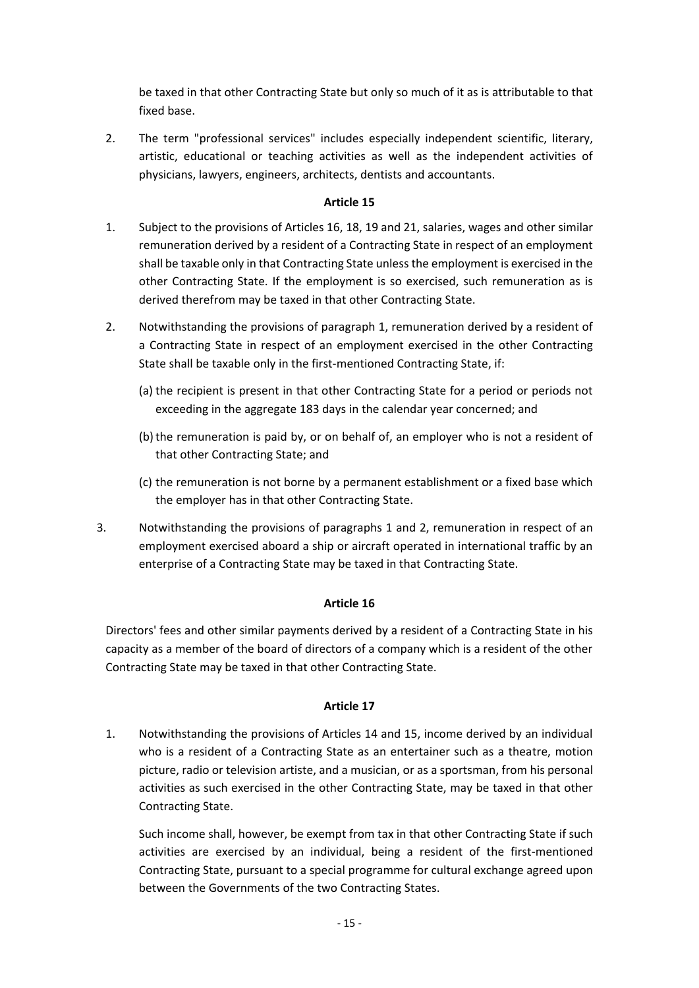be taxed in that other Contracting State but only so much of it as is attributable to that fixed base.

2. The term "professional services" includes especially independent scientific, literary, artistic, educational or teaching activities as well as the independent activities of physicians, lawyers, engineers, architects, dentists and accountants.

# **Article 15**

- 1. Subject to the provisions of Articles 16, 18, 19 and 21, salaries, wages and other similar remuneration derived by a resident of a Contracting State in respect of an employment shall be taxable only in that Contracting State unless the employment is exercised in the other Contracting State. If the employment is so exercised, such remuneration as is derived therefrom may be taxed in that other Contracting State.
- 2. Notwithstanding the provisions of paragraph 1, remuneration derived by a resident of a Contracting State in respect of an employment exercised in the other Contracting State shall be taxable only in the first-mentioned Contracting State, if:
	- (a) the recipient is present in that other Contracting State for a period or periods not exceeding in the aggregate 183 days in the calendar year concerned; and
	- (b)the remuneration is paid by, or on behalf of, an employer who is not a resident of that other Contracting State; and
	- (c) the remuneration is not borne by a permanent establishment or a fixed base which the employer has in that other Contracting State.
- 3. Notwithstanding the provisions of paragraphs 1 and 2, remuneration in respect of an employment exercised aboard a ship or aircraft operated in international traffic by an enterprise of a Contracting State may be taxed in that Contracting State.

# **Article 16**

Directors' fees and other similar payments derived by a resident of a Contracting State in his capacity as a member of the board of directors of a company which is a resident of the other Contracting State may be taxed in that other Contracting State.

# **Article 17**

1. Notwithstanding the provisions of Articles 14 and 15, income derived by an individual who is a resident of a Contracting State as an entertainer such as a theatre, motion picture, radio or television artiste, and a musician, or as a sportsman, from his personal activities as such exercised in the other Contracting State, may be taxed in that other Contracting State.

Such income shall, however, be exempt from tax in that other Contracting State if such activities are exercised by an individual, being a resident of the first-mentioned Contracting State, pursuant to a special programme for cultural exchange agreed upon between the Governments of the two Contracting States.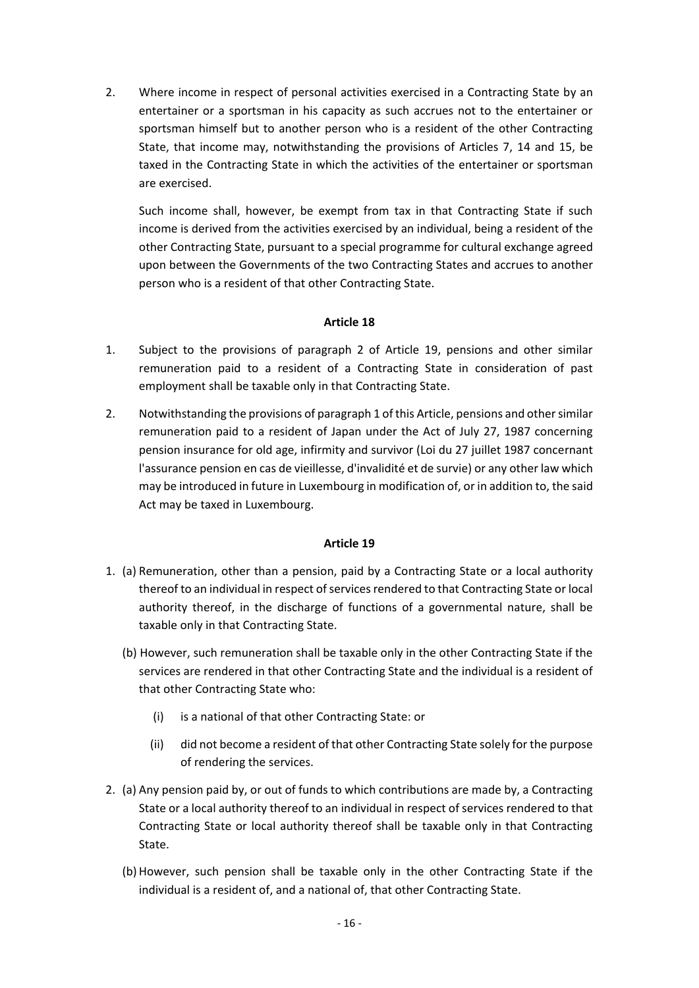2. Where income in respect of personal activities exercised in a Contracting State by an entertainer or a sportsman in his capacity as such accrues not to the entertainer or sportsman himself but to another person who is a resident of the other Contracting State, that income may, notwithstanding the provisions of Articles 7, 14 and 15, be taxed in the Contracting State in which the activities of the entertainer or sportsman are exercised.

Such income shall, however, be exempt from tax in that Contracting State if such income is derived from the activities exercised by an individual, being a resident of the other Contracting State, pursuant to a special programme for cultural exchange agreed upon between the Governments of the two Contracting States and accrues to another person who is a resident of that other Contracting State.

## **Article 18**

- 1. Subject to the provisions of paragraph 2 of Article 19, pensions and other similar remuneration paid to a resident of a Contracting State in consideration of past employment shall be taxable only in that Contracting State.
- 2. Notwithstanding the provisions of paragraph 1 of this Article, pensions and other similar remuneration paid to a resident of Japan under the Act of July 27, 1987 concerning pension insurance for old age, infirmity and survivor (Loi du 27 juillet 1987 concernant l'assurance pension en cas de vieillesse, d'invalidité et de survie) or any other law which may be introduced in future in Luxembourg in modification of, or in addition to, the said Act may be taxed in Luxembourg.

- 1. (a) Remuneration, other than a pension, paid by a Contracting State or a local authority thereof to an individual in respect of services rendered to that Contracting State or local authority thereof, in the discharge of functions of a governmental nature, shall be taxable only in that Contracting State.
	- (b) However, such remuneration shall be taxable only in the other Contracting State if the services are rendered in that other Contracting State and the individual is a resident of that other Contracting State who:
		- (i) is a national of that other Contracting State: or
		- (ii) did not become a resident of that other Contracting State solely for the purpose of rendering the services.
- 2. (a) Any pension paid by, or out of funds to which contributions are made by, a Contracting State or a local authority thereof to an individual in respect of services rendered to that Contracting State or local authority thereof shall be taxable only in that Contracting State.
	- (b) However, such pension shall be taxable only in the other Contracting State if the individual is a resident of, and a national of, that other Contracting State.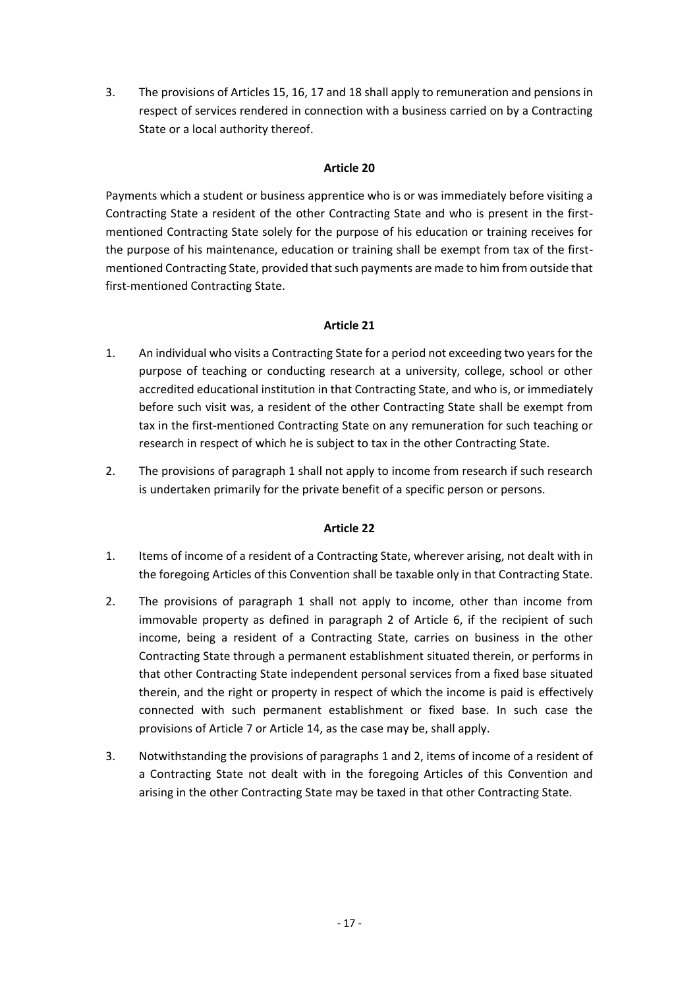3. The provisions of Articles 15, 16, 17 and 18 shall apply to remuneration and pensions in respect of services rendered in connection with a business carried on by a Contracting State or a local authority thereof.

# **Article 20**

Payments which a student or business apprentice who is or was immediately before visiting a Contracting State a resident of the other Contracting State and who is present in the firstmentioned Contracting State solely for the purpose of his education or training receives for the purpose of his maintenance, education or training shall be exempt from tax of the firstmentioned Contracting State, provided that such payments are made to him from outside that first-mentioned Contracting State.

## **Article 21**

- 1. An individual who visits a Contracting State for a period not exceeding two years for the purpose of teaching or conducting research at a university, college, school or other accredited educational institution in that Contracting State, and who is, or immediately before such visit was, a resident of the other Contracting State shall be exempt from tax in the first-mentioned Contracting State on any remuneration for such teaching or research in respect of which he is subject to tax in the other Contracting State.
- 2. The provisions of paragraph 1 shall not apply to income from research if such research is undertaken primarily for the private benefit of a specific person or persons.

- 1. Items of income of a resident of a Contracting State, wherever arising, not dealt with in the foregoing Articles of this Convention shall be taxable only in that Contracting State.
- 2. The provisions of paragraph 1 shall not apply to income, other than income from immovable property as defined in paragraph 2 of Article 6, if the recipient of such income, being a resident of a Contracting State, carries on business in the other Contracting State through a permanent establishment situated therein, or performs in that other Contracting State independent personal services from a fixed base situated therein, and the right or property in respect of which the income is paid is effectively connected with such permanent establishment or fixed base. In such case the provisions of Article 7 or Article 14, as the case may be, shall apply.
- 3. Notwithstanding the provisions of paragraphs 1 and 2, items of income of a resident of a Contracting State not dealt with in the foregoing Articles of this Convention and arising in the other Contracting State may be taxed in that other Contracting State.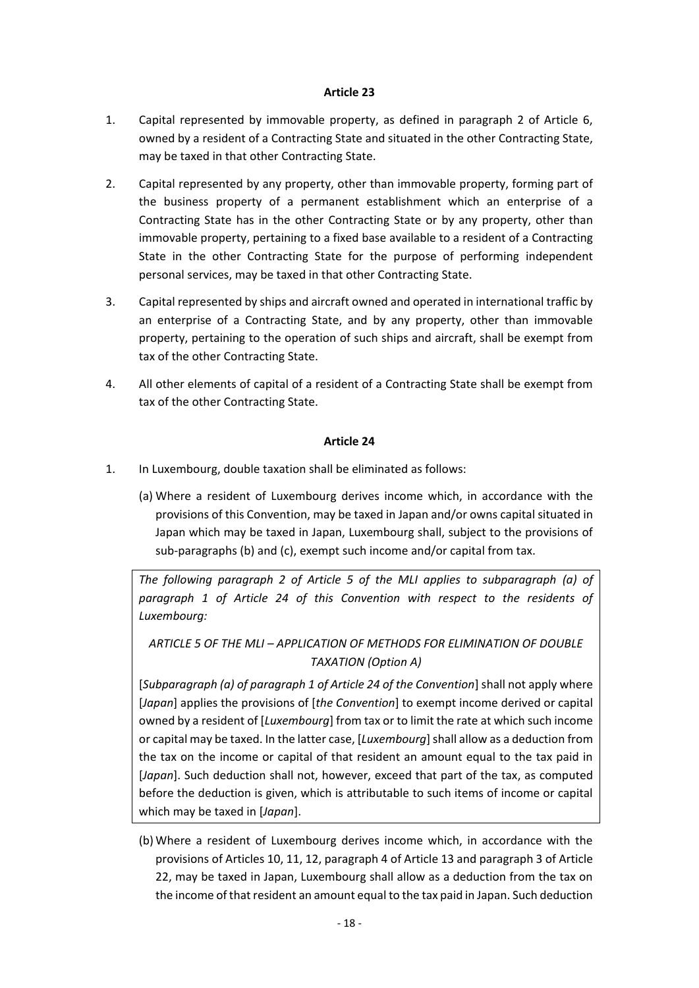- 1. Capital represented by immovable property, as defined in paragraph 2 of Article 6, owned by a resident of a Contracting State and situated in the other Contracting State, may be taxed in that other Contracting State.
- 2. Capital represented by any property, other than immovable property, forming part of the business property of a permanent establishment which an enterprise of a Contracting State has in the other Contracting State or by any property, other than immovable property, pertaining to a fixed base available to a resident of a Contracting State in the other Contracting State for the purpose of performing independent personal services, may be taxed in that other Contracting State.
- 3. Capital represented by ships and aircraft owned and operated in international traffic by an enterprise of a Contracting State, and by any property, other than immovable property, pertaining to the operation of such ships and aircraft, shall be exempt from tax of the other Contracting State.
- 4. All other elements of capital of a resident of a Contracting State shall be exempt from tax of the other Contracting State.

#### **Article 24**

- 1. In Luxembourg, double taxation shall be eliminated as follows:
	- (a) Where a resident of Luxembourg derives income which, in accordance with the provisions of this Convention, may be taxed in Japan and/or owns capital situated in Japan which may be taxed in Japan, Luxembourg shall, subject to the provisions of sub-paragraphs (b) and (c), exempt such income and/or capital from tax.

*The following paragraph 2 of Article 5 of the MLI applies to subparagraph (a) of paragraph 1 of Article 24 of this Convention with respect to the residents of Luxembourg:*

*ARTICLE 5 OF THE MLI – APPLICATION OF METHODS FOR ELIMINATION OF DOUBLE TAXATION (Option A)*

[*Subparagraph (a) of paragraph 1 of Article 24 of the Convention*] shall not apply where [*Japan*] applies the provisions of [*the Convention*] to exempt income derived or capital owned by a resident of [*Luxembourg*] from tax or to limit the rate at which such income or capital may be taxed. In the latter case, [*Luxembourg*] shall allow as a deduction from the tax on the income or capital of that resident an amount equal to the tax paid in [*Japan*]. Such deduction shall not, however, exceed that part of the tax, as computed before the deduction is given, which is attributable to such items of income or capital which may be taxed in [*Japan*].

(b) Where a resident of Luxembourg derives income which, in accordance with the provisions of Articles 10, 11, 12, paragraph 4 of Article 13 and paragraph 3 of Article 22, may be taxed in Japan, Luxembourg shall allow as a deduction from the tax on the income of that resident an amount equal to the tax paid in Japan. Such deduction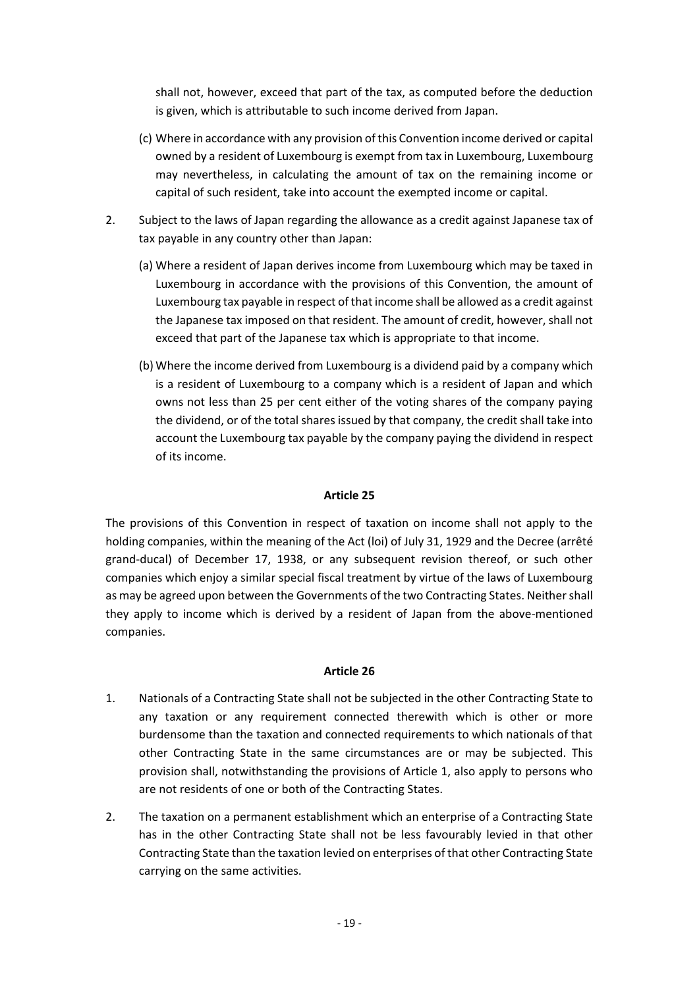shall not, however, exceed that part of the tax, as computed before the deduction is given, which is attributable to such income derived from Japan.

- (c) Where in accordance with any provision of this Convention income derived or capital owned by a resident of Luxembourg is exempt from tax in Luxembourg, Luxembourg may nevertheless, in calculating the amount of tax on the remaining income or capital of such resident, take into account the exempted income or capital.
- 2. Subject to the laws of Japan regarding the allowance as a credit against Japanese tax of tax payable in any country other than Japan:
	- (a) Where a resident of Japan derives income from Luxembourg which may be taxed in Luxembourg in accordance with the provisions of this Convention, the amount of Luxembourg tax payable in respect of that income shall be allowed as a credit against the Japanese tax imposed on that resident. The amount of credit, however, shall not exceed that part of the Japanese tax which is appropriate to that income.
	- (b) Where the income derived from Luxembourg is a dividend paid by a company which is a resident of Luxembourg to a company which is a resident of Japan and which owns not less than 25 per cent either of the voting shares of the company paying the dividend, or of the total shares issued by that company, the credit shall take into account the Luxembourg tax payable by the company paying the dividend in respect of its income.

# **Article 25**

The provisions of this Convention in respect of taxation on income shall not apply to the holding companies, within the meaning of the Act (loi) of July 31, 1929 and the Decree (arrêté grand-ducal) of December 17, 1938, or any subsequent revision thereof, or such other companies which enjoy a similar special fiscal treatment by virtue of the laws of Luxembourg as may be agreed upon between the Governments of the two Contracting States. Neither shall they apply to income which is derived by a resident of Japan from the above-mentioned companies.

- 1. Nationals of a Contracting State shall not be subjected in the other Contracting State to any taxation or any requirement connected therewith which is other or more burdensome than the taxation and connected requirements to which nationals of that other Contracting State in the same circumstances are or may be subjected. This provision shall, notwithstanding the provisions of Article 1, also apply to persons who are not residents of one or both of the Contracting States.
- 2. The taxation on a permanent establishment which an enterprise of a Contracting State has in the other Contracting State shall not be less favourably levied in that other Contracting State than the taxation levied on enterprises of that other Contracting State carrying on the same activities.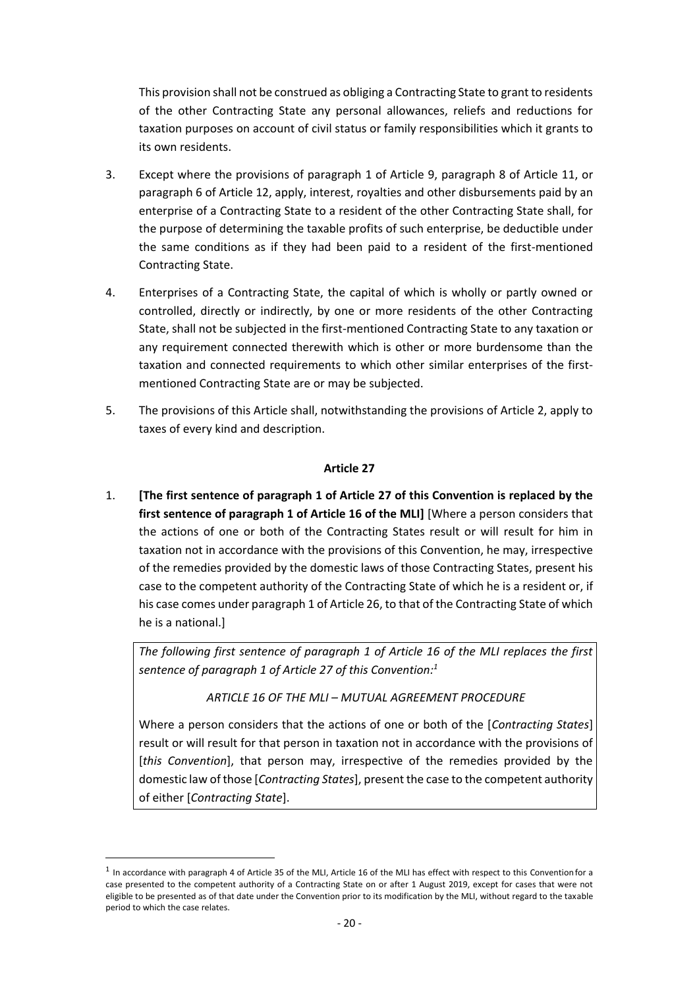This provision shall not be construed as obliging a Contracting State to grant to residents of the other Contracting State any personal allowances, reliefs and reductions for taxation purposes on account of civil status or family responsibilities which it grants to its own residents.

- 3. Except where the provisions of paragraph 1 of Article 9, paragraph 8 of Article 11, or paragraph 6 of Article 12, apply, interest, royalties and other disbursements paid by an enterprise of a Contracting State to a resident of the other Contracting State shall, for the purpose of determining the taxable profits of such enterprise, be deductible under the same conditions as if they had been paid to a resident of the first-mentioned Contracting State.
- 4. Enterprises of a Contracting State, the capital of which is wholly or partly owned or controlled, directly or indirectly, by one or more residents of the other Contracting State, shall not be subjected in the first-mentioned Contracting State to any taxation or any requirement connected therewith which is other or more burdensome than the taxation and connected requirements to which other similar enterprises of the firstmentioned Contracting State are or may be subjected.
- 5. The provisions of this Article shall, notwithstanding the provisions of Article 2, apply to taxes of every kind and description.

## **Article 27**

1. **[The first sentence of paragraph 1 of Article 27 of this Convention is replaced by the first sentence of paragraph 1 of Article 16 of the MLI]** [Where a person considers that the actions of one or both of the Contracting States result or will result for him in taxation not in accordance with the provisions of this Convention, he may, irrespective of the remedies provided by the domestic laws of those Contracting States, present his case to the competent authority of the Contracting State of which he is a resident or, if his case comes under paragraph 1 of Article 26, to that of the Contracting State of which he is a national.]

*The following first sentence of paragraph 1 of Article 16 of the MLI replaces the first sentence of paragraph 1 of Article 27 of this Convention:<sup>1</sup>*

*ARTICLE 16 OF THE MLI – MUTUAL AGREEMENT PROCEDURE*

Where a person considers that the actions of one or both of the [*Contracting States*] result or will result for that person in taxation not in accordance with the provisions of [*this Convention*], that person may, irrespective of the remedies provided by the domestic law of those [*Contracting States*], present the case to the competent authority of either [*Contracting State*].

1

 $^1$  In accordance with paragraph 4 of Article 35 of the MLI, Article 16 of the MLI has effect with respect to this Convention for a case presented to the competent authority of a Contracting State on or after 1 August 2019, except for cases that were not eligible to be presented as of that date under the Convention prior to its modification by the MLI, without regard to the taxable period to which the case relates.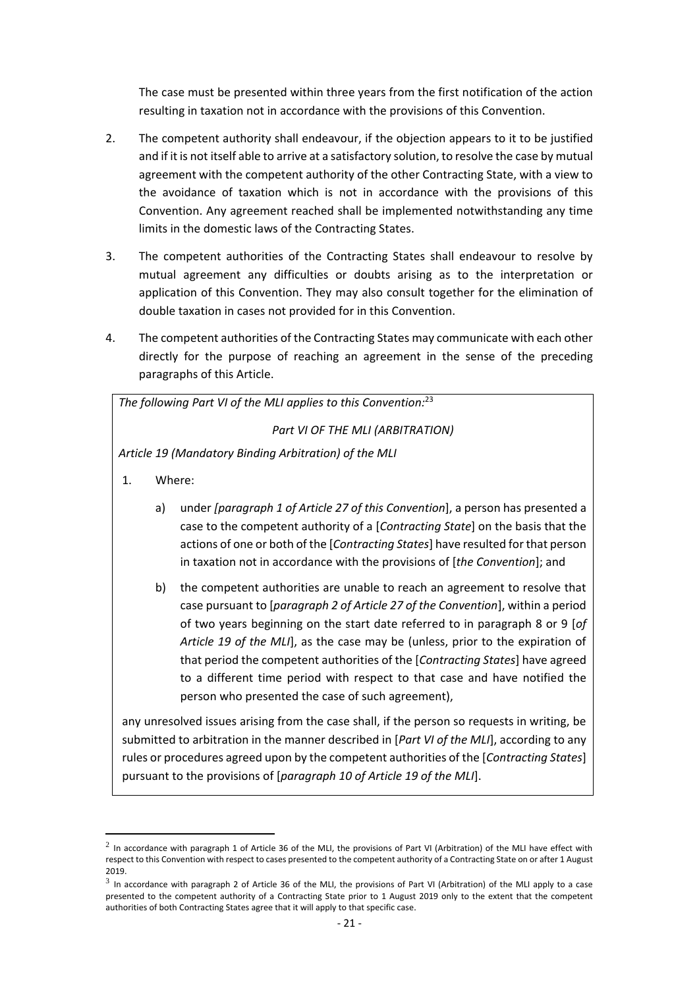The case must be presented within three years from the first notification of the action resulting in taxation not in accordance with the provisions of this Convention.

- 2. The competent authority shall endeavour, if the objection appears to it to be justified and if it is not itself able to arrive at a satisfactory solution, to resolve the case by mutual agreement with the competent authority of the other Contracting State, with a view to the avoidance of taxation which is not in accordance with the provisions of this Convention. Any agreement reached shall be implemented notwithstanding any time limits in the domestic laws of the Contracting States.
- 3. The competent authorities of the Contracting States shall endeavour to resolve by mutual agreement any difficulties or doubts arising as to the interpretation or application of this Convention. They may also consult together for the elimination of double taxation in cases not provided for in this Convention.
- 4. The competent authorities of the Contracting States may communicate with each other directly for the purpose of reaching an agreement in the sense of the preceding paragraphs of this Article.

*The following Part VI of the MLI applies to this Convention:*<sup>23</sup>

*Part VI OF THE MLI (ARBITRATION)*

*Article 19 (Mandatory Binding Arbitration) of the MLI*

1. Where:

1

- a) under *[paragraph 1 of Article 27 of this Convention*], a person has presented a case to the competent authority of a [*Contracting State*] on the basis that the actions of one or both of the [*Contracting States*] have resulted for that person in taxation not in accordance with the provisions of [*the Convention*]; and
- b) the competent authorities are unable to reach an agreement to resolve that case pursuant to [*paragraph 2 of Article 27 of the Convention*], within a period of two years beginning on the start date referred to in paragraph 8 or 9 [*of Article 19 of the MLI*], as the case may be (unless, prior to the expiration of that period the competent authorities of the [*Contracting States*] have agreed to a different time period with respect to that case and have notified the person who presented the case of such agreement),

any unresolved issues arising from the case shall, if the person so requests in writing, be submitted to arbitration in the manner described in [*Part VI of the MLI*], according to any rules or procedures agreed upon by the competent authorities of the [*Contracting States*] pursuant to the provisions of [*paragraph 10 of Article 19 of the MLI*].

 $^2$  In accordance with paragraph 1 of Article 36 of the MLI, the provisions of Part VI (Arbitration) of the MLI have effect with respect to this Convention with respect to cases presented to the competent authority of a Contracting State on or after 1 August 2019.

 $^3$  In accordance with paragraph 2 of Article 36 of the MLI, the provisions of Part VI (Arbitration) of the MLI apply to a case presented to the competent authority of a Contracting State prior to 1 August 2019 only to the extent that the competent authorities of both Contracting States agree that it will apply to that specific case.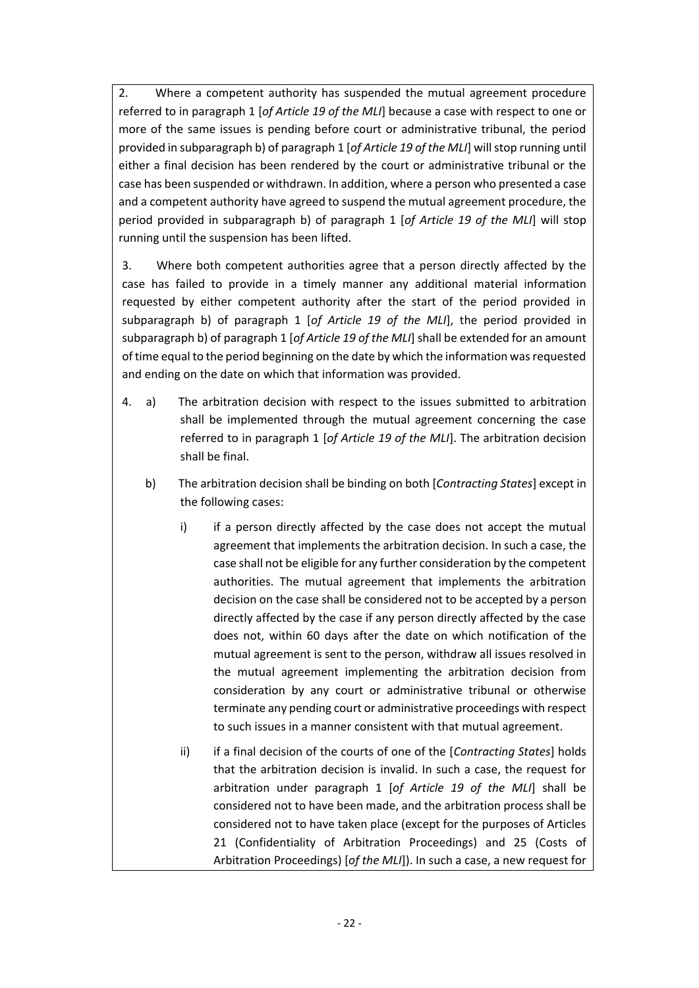2. Where a competent authority has suspended the mutual agreement procedure referred to in paragraph 1 [*of Article 19 of the MLI*] because a case with respect to one or more of the same issues is pending before court or administrative tribunal, the period provided in subparagraph b) of paragraph 1 [*of Article 19 of the MLI*] will stop running until either a final decision has been rendered by the court or administrative tribunal or the case has been suspended or withdrawn. In addition, where a person who presented a case and a competent authority have agreed to suspend the mutual agreement procedure, the period provided in subparagraph b) of paragraph 1 [*of Article 19 of the MLI*] will stop running until the suspension has been lifted.

3. Where both competent authorities agree that a person directly affected by the case has failed to provide in a timely manner any additional material information requested by either competent authority after the start of the period provided in subparagraph b) of paragraph 1 [*of Article 19 of the MLI*], the period provided in subparagraph b) of paragraph 1 [*of Article 19 of the MLI*] shall be extended for an amount of time equal to the period beginning on the date by which the information was requested and ending on the date on which that information was provided.

- 4. a) The arbitration decision with respect to the issues submitted to arbitration shall be implemented through the mutual agreement concerning the case referred to in paragraph 1 [*of Article 19 of the MLI*]. The arbitration decision shall be final.
	- b) The arbitration decision shall be binding on both [*Contracting States*] except in the following cases:
		- i) if a person directly affected by the case does not accept the mutual agreement that implements the arbitration decision. In such a case, the case shall not be eligible for any further consideration by the competent authorities. The mutual agreement that implements the arbitration decision on the case shall be considered not to be accepted by a person directly affected by the case if any person directly affected by the case does not, within 60 days after the date on which notification of the mutual agreement is sent to the person, withdraw all issues resolved in the mutual agreement implementing the arbitration decision from consideration by any court or administrative tribunal or otherwise terminate any pending court or administrative proceedings with respect to such issues in a manner consistent with that mutual agreement.
		- ii) if a final decision of the courts of one of the [*Contracting States*] holds that the arbitration decision is invalid. In such a case, the request for arbitration under paragraph 1 [*of Article 19 of the MLI*] shall be considered not to have been made, and the arbitration process shall be considered not to have taken place (except for the purposes of Articles 21 (Confidentiality of Arbitration Proceedings) and 25 (Costs of Arbitration Proceedings) [*of the MLI*]). In such a case, a new request for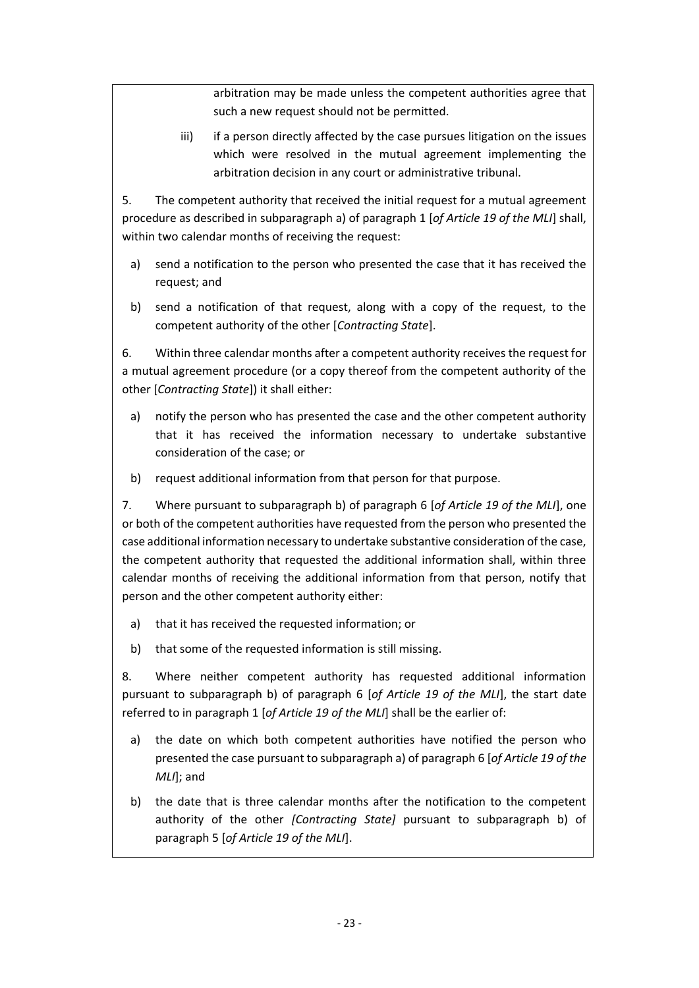arbitration may be made unless the competent authorities agree that such a new request should not be permitted.

iii) if a person directly affected by the case pursues litigation on the issues which were resolved in the mutual agreement implementing the arbitration decision in any court or administrative tribunal.

5. The competent authority that received the initial request for a mutual agreement procedure as described in subparagraph a) of paragraph 1 [*of Article 19 of the MLI*] shall, within two calendar months of receiving the request:

- a) send a notification to the person who presented the case that it has received the request; and
- b) send a notification of that request, along with a copy of the request, to the competent authority of the other [*Contracting State*].

6. Within three calendar months after a competent authority receives the request for a mutual agreement procedure (or a copy thereof from the competent authority of the other [*Contracting State*]) it shall either:

- a) notify the person who has presented the case and the other competent authority that it has received the information necessary to undertake substantive consideration of the case; or
- b) request additional information from that person for that purpose.

7. Where pursuant to subparagraph b) of paragraph 6 [*of Article 19 of the MLI*], one or both of the competent authorities have requested from the person who presented the case additional information necessary to undertake substantive consideration of the case, the competent authority that requested the additional information shall, within three calendar months of receiving the additional information from that person, notify that person and the other competent authority either:

- a) that it has received the requested information; or
- b) that some of the requested information is still missing.

8. Where neither competent authority has requested additional information pursuant to subparagraph b) of paragraph 6 [*of Article 19 of the MLI*], the start date referred to in paragraph 1 [*of Article 19 of the MLI*] shall be the earlier of:

- a) the date on which both competent authorities have notified the person who presented the case pursuant to subparagraph a) of paragraph 6 [*of Article 19 of the MLI*]; and
- b) the date that is three calendar months after the notification to the competent authority of the other *[Contracting State]* pursuant to subparagraph b) of paragraph 5 [*of Article 19 of the MLI*].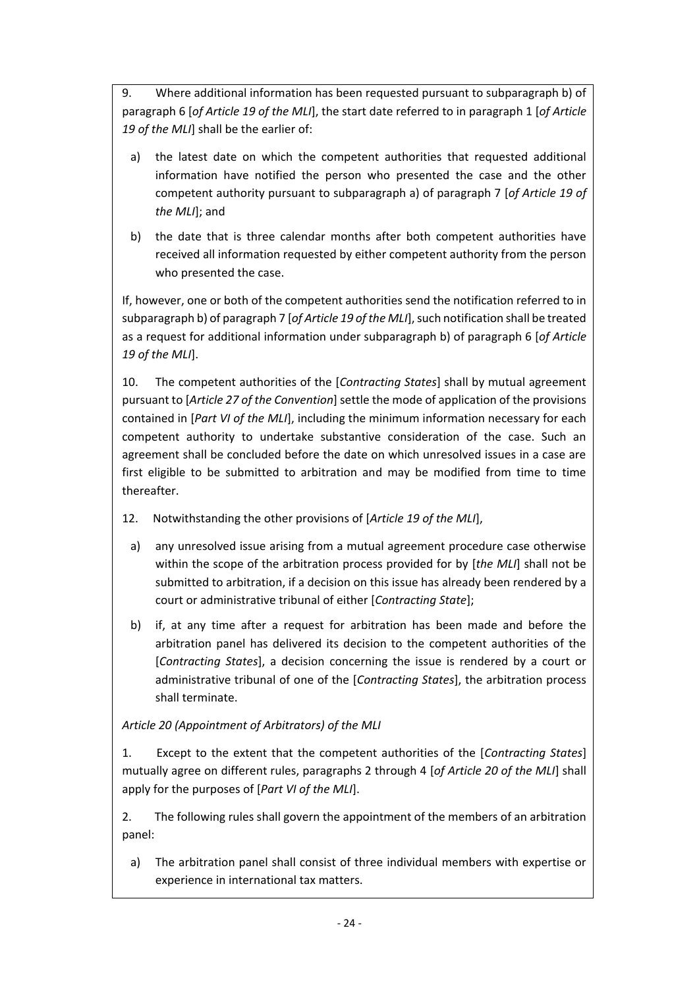9. Where additional information has been requested pursuant to subparagraph b) of paragraph 6 [*of Article 19 of the MLI*], the start date referred to in paragraph 1 [*of Article 19 of the MLI*] shall be the earlier of:

- a) the latest date on which the competent authorities that requested additional information have notified the person who presented the case and the other competent authority pursuant to subparagraph a) of paragraph 7 [*of Article 19 of the MLI*]; and
- b) the date that is three calendar months after both competent authorities have received all information requested by either competent authority from the person who presented the case.

If, however, one or both of the competent authorities send the notification referred to in subparagraph b) of paragraph 7 [*of Article 19 of the MLI*], such notification shall be treated as a request for additional information under subparagraph b) of paragraph 6 [*of Article 19 of the MLI*].

10. The competent authorities of the [*Contracting States*] shall by mutual agreement pursuant to [*Article 27 of the Convention*] settle the mode of application of the provisions contained in [*Part VI of the MLI*], including the minimum information necessary for each competent authority to undertake substantive consideration of the case. Such an agreement shall be concluded before the date on which unresolved issues in a case are first eligible to be submitted to arbitration and may be modified from time to time thereafter.

- 12. Notwithstanding the other provisions of [*Article 19 of the MLI*],
	- a) any unresolved issue arising from a mutual agreement procedure case otherwise within the scope of the arbitration process provided for by [*the MLI*] shall not be submitted to arbitration, if a decision on this issue has already been rendered by a court or administrative tribunal of either [*Contracting State*];
	- b) if, at any time after a request for arbitration has been made and before the arbitration panel has delivered its decision to the competent authorities of the [*Contracting States*], a decision concerning the issue is rendered by a court or administrative tribunal of one of the [*Contracting States*], the arbitration process shall terminate.

# *Article 20 (Appointment of Arbitrators) of the MLI*

1. Except to the extent that the competent authorities of the [*Contracting States*] mutually agree on different rules, paragraphs 2 through 4 [*of Article 20 of the MLI*] shall apply for the purposes of [*Part VI of the MLI*].

2. The following rules shall govern the appointment of the members of an arbitration panel:

a) The arbitration panel shall consist of three individual members with expertise or experience in international tax matters.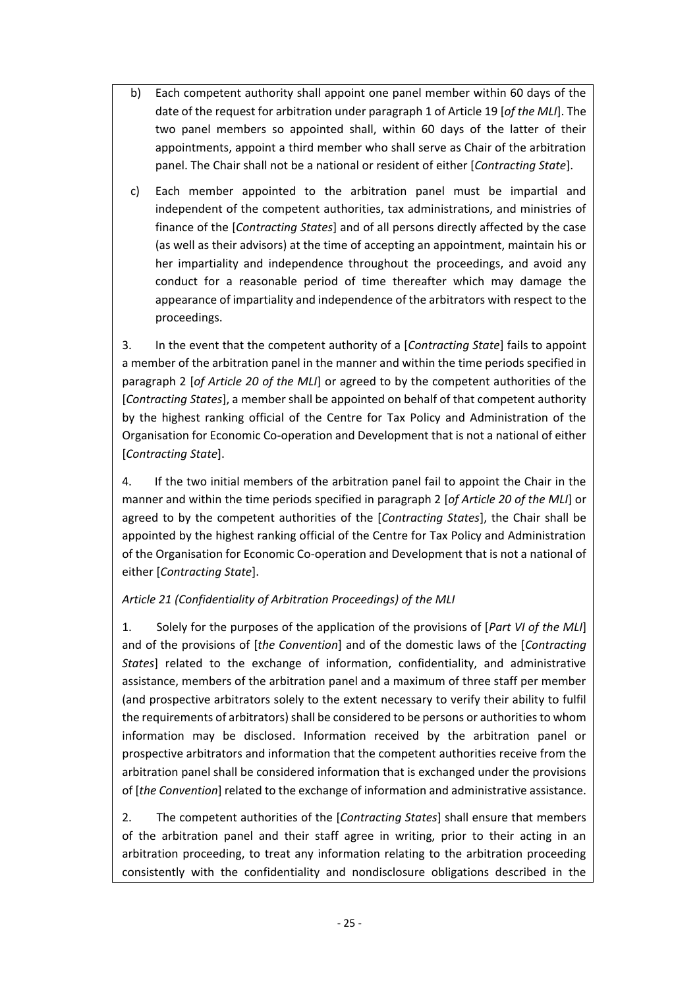- b) Each competent authority shall appoint one panel member within 60 days of the date of the request for arbitration under paragraph 1 of Article 19 [*of the MLI*]. The two panel members so appointed shall, within 60 days of the latter of their appointments, appoint a third member who shall serve as Chair of the arbitration panel. The Chair shall not be a national or resident of either [*Contracting State*].
- c) Each member appointed to the arbitration panel must be impartial and independent of the competent authorities, tax administrations, and ministries of finance of the [*Contracting States*] and of all persons directly affected by the case (as well as their advisors) at the time of accepting an appointment, maintain his or her impartiality and independence throughout the proceedings, and avoid any conduct for a reasonable period of time thereafter which may damage the appearance of impartiality and independence of the arbitrators with respect to the proceedings.

3. In the event that the competent authority of a [*Contracting State*] fails to appoint a member of the arbitration panel in the manner and within the time periods specified in paragraph 2 [*of Article 20 of the MLI*] or agreed to by the competent authorities of the [*Contracting States*], a member shall be appointed on behalf of that competent authority by the highest ranking official of the Centre for Tax Policy and Administration of the Organisation for Economic Co-operation and Development that is not a national of either [*Contracting State*].

4. If the two initial members of the arbitration panel fail to appoint the Chair in the manner and within the time periods specified in paragraph 2 [*of Article 20 of the MLI*] or agreed to by the competent authorities of the [*Contracting States*], the Chair shall be appointed by the highest ranking official of the Centre for Tax Policy and Administration of the Organisation for Economic Co-operation and Development that is not a national of either [*Contracting State*].

# *Article 21 (Confidentiality of Arbitration Proceedings) of the MLI*

1. Solely for the purposes of the application of the provisions of [*Part VI of the MLI*] and of the provisions of [*the Convention*] and of the domestic laws of the [*Contracting States*] related to the exchange of information, confidentiality, and administrative assistance, members of the arbitration panel and a maximum of three staff per member (and prospective arbitrators solely to the extent necessary to verify their ability to fulfil the requirements of arbitrators) shall be considered to be persons or authorities to whom information may be disclosed. Information received by the arbitration panel or prospective arbitrators and information that the competent authorities receive from the arbitration panel shall be considered information that is exchanged under the provisions of [*the Convention*] related to the exchange of information and administrative assistance.

2. The competent authorities of the [*Contracting States*] shall ensure that members of the arbitration panel and their staff agree in writing, prior to their acting in an arbitration proceeding, to treat any information relating to the arbitration proceeding consistently with the confidentiality and nondisclosure obligations described in the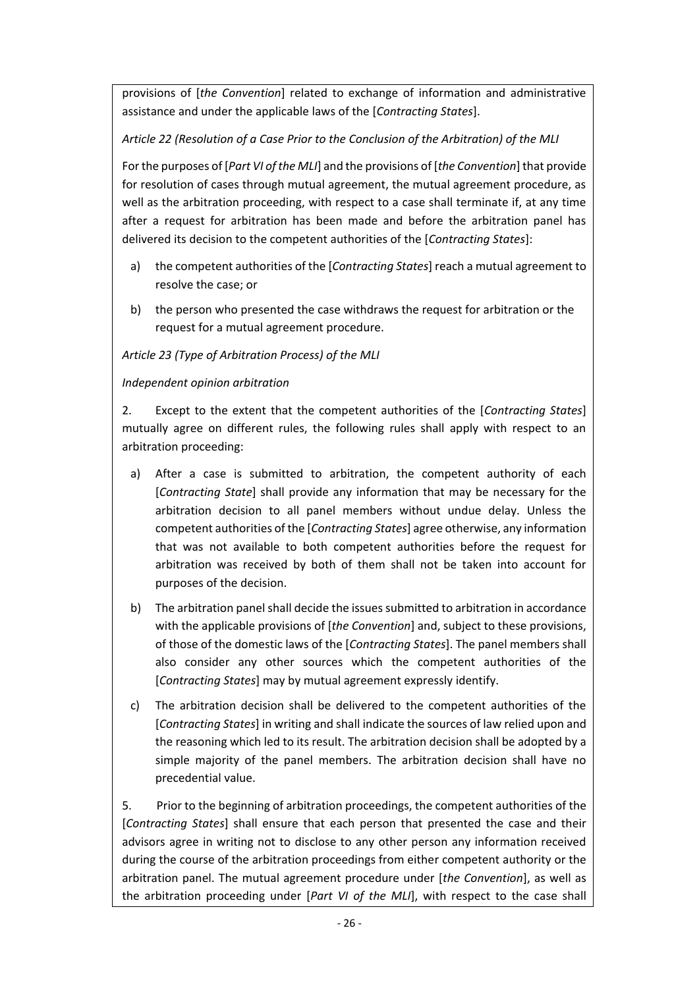provisions of [*the Convention*] related to exchange of information and administrative assistance and under the applicable laws of the [*Contracting States*].

# *Article 22 (Resolution of a Case Prior to the Conclusion of the Arbitration) of the MLI*

For the purposes of [*Part VI of the MLI*] and the provisions of [*the Convention*] that provide for resolution of cases through mutual agreement, the mutual agreement procedure, as well as the arbitration proceeding, with respect to a case shall terminate if, at any time after a request for arbitration has been made and before the arbitration panel has delivered its decision to the competent authorities of the [*Contracting States*]:

- a) the competent authorities of the [*Contracting States*] reach a mutual agreement to resolve the case; or
- b) the person who presented the case withdraws the request for arbitration or the request for a mutual agreement procedure.

*Article 23 (Type of Arbitration Process) of the MLI*

# *Independent opinion arbitration*

2. Except to the extent that the competent authorities of the [*Contracting States*] mutually agree on different rules, the following rules shall apply with respect to an arbitration proceeding:

- a) After a case is submitted to arbitration, the competent authority of each [*Contracting State*] shall provide any information that may be necessary for the arbitration decision to all panel members without undue delay. Unless the competent authorities of the [*Contracting States*] agree otherwise, any information that was not available to both competent authorities before the request for arbitration was received by both of them shall not be taken into account for purposes of the decision.
- b) The arbitration panel shall decide the issues submitted to arbitration in accordance with the applicable provisions of [*the Convention*] and, subject to these provisions, of those of the domestic laws of the [*Contracting States*]. The panel members shall also consider any other sources which the competent authorities of the [*Contracting States*] may by mutual agreement expressly identify.
- c) The arbitration decision shall be delivered to the competent authorities of the [*Contracting States*] in writing and shall indicate the sources of law relied upon and the reasoning which led to its result. The arbitration decision shall be adopted by a simple majority of the panel members. The arbitration decision shall have no precedential value.

5. Prior to the beginning of arbitration proceedings, the competent authorities of the [*Contracting States*] shall ensure that each person that presented the case and their advisors agree in writing not to disclose to any other person any information received during the course of the arbitration proceedings from either competent authority or the arbitration panel. The mutual agreement procedure under [*the Convention*], as well as the arbitration proceeding under [*Part VI of the MLI*], with respect to the case shall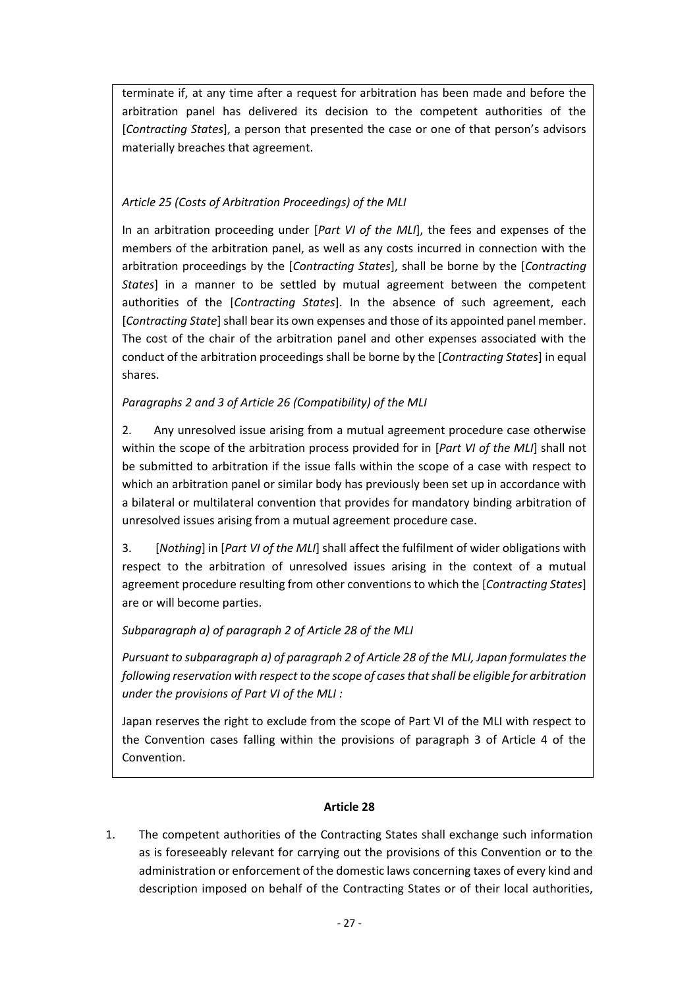terminate if, at any time after a request for arbitration has been made and before the arbitration panel has delivered its decision to the competent authorities of the [*Contracting States*], a person that presented the case or one of that person's advisors materially breaches that agreement.

# *Article 25 (Costs of Arbitration Proceedings) of the MLI*

In an arbitration proceeding under [*Part VI of the MLI*], the fees and expenses of the members of the arbitration panel, as well as any costs incurred in connection with the arbitration proceedings by the [*Contracting States*], shall be borne by the [*Contracting States*] in a manner to be settled by mutual agreement between the competent authorities of the [*Contracting States*]. In the absence of such agreement, each [*Contracting State*] shall bear its own expenses and those of its appointed panel member. The cost of the chair of the arbitration panel and other expenses associated with the conduct of the arbitration proceedings shall be borne by the [*Contracting States*] in equal shares.

# *Paragraphs 2 and 3 of Article 26 (Compatibility) of the MLI*

2. Any unresolved issue arising from a mutual agreement procedure case otherwise within the scope of the arbitration process provided for in [*Part VI of the MLI*] shall not be submitted to arbitration if the issue falls within the scope of a case with respect to which an arbitration panel or similar body has previously been set up in accordance with a bilateral or multilateral convention that provides for mandatory binding arbitration of unresolved issues arising from a mutual agreement procedure case.

3. [*Nothing*] in [*Part VI of the MLI*] shall affect the fulfilment of wider obligations with respect to the arbitration of unresolved issues arising in the context of a mutual agreement procedure resulting from other conventions to which the [*Contracting States*] are or will become parties.

# *Subparagraph a) of paragraph 2 of Article 28 of the MLI*

*Pursuant to subparagraph a) of paragraph 2 of Article 28 of the MLI, Japan formulates the following reservation with respect to the scope of cases that shall be eligible for arbitration under the provisions of Part VI of the MLI :*

Japan reserves the right to exclude from the scope of Part VI of the MLI with respect to the Convention cases falling within the provisions of paragraph 3 of Article 4 of the Convention.

# **Article 28**

1. The competent authorities of the Contracting States shall exchange such information as is foreseeably relevant for carrying out the provisions of this Convention or to the administration or enforcement of the domestic laws concerning taxes of every kind and description imposed on behalf of the Contracting States or of their local authorities,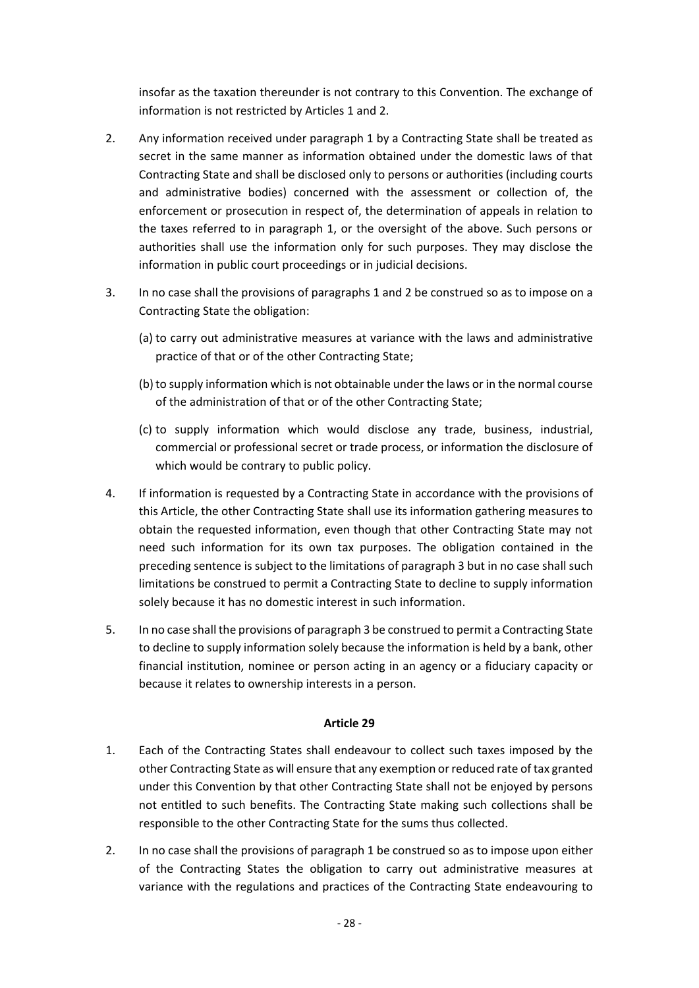insofar as the taxation thereunder is not contrary to this Convention. The exchange of information is not restricted by Articles 1 and 2.

- 2. Any information received under paragraph 1 by a Contracting State shall be treated as secret in the same manner as information obtained under the domestic laws of that Contracting State and shall be disclosed only to persons or authorities (including courts and administrative bodies) concerned with the assessment or collection of, the enforcement or prosecution in respect of, the determination of appeals in relation to the taxes referred to in paragraph 1, or the oversight of the above. Such persons or authorities shall use the information only for such purposes. They may disclose the information in public court proceedings or in judicial decisions.
- 3. In no case shall the provisions of paragraphs 1 and 2 be construed so as to impose on a Contracting State the obligation:
	- (a) to carry out administrative measures at variance with the laws and administrative practice of that or of the other Contracting State;
	- (b) to supply information which is not obtainable under the laws or in the normal course of the administration of that or of the other Contracting State;
	- (c) to supply information which would disclose any trade, business, industrial, commercial or professional secret or trade process, or information the disclosure of which would be contrary to public policy.
- 4. If information is requested by a Contracting State in accordance with the provisions of this Article, the other Contracting State shall use its information gathering measures to obtain the requested information, even though that other Contracting State may not need such information for its own tax purposes. The obligation contained in the preceding sentence is subject to the limitations of paragraph 3 but in no case shall such limitations be construed to permit a Contracting State to decline to supply information solely because it has no domestic interest in such information.
- 5. In no case shall the provisions of paragraph 3 be construed to permit a Contracting State to decline to supply information solely because the information is held by a bank, other financial institution, nominee or person acting in an agency or a fiduciary capacity or because it relates to ownership interests in a person.

- 1. Each of the Contracting States shall endeavour to collect such taxes imposed by the other Contracting State as will ensure that any exemption or reduced rate of tax granted under this Convention by that other Contracting State shall not be enjoyed by persons not entitled to such benefits. The Contracting State making such collections shall be responsible to the other Contracting State for the sums thus collected.
- 2. In no case shall the provisions of paragraph 1 be construed so as to impose upon either of the Contracting States the obligation to carry out administrative measures at variance with the regulations and practices of the Contracting State endeavouring to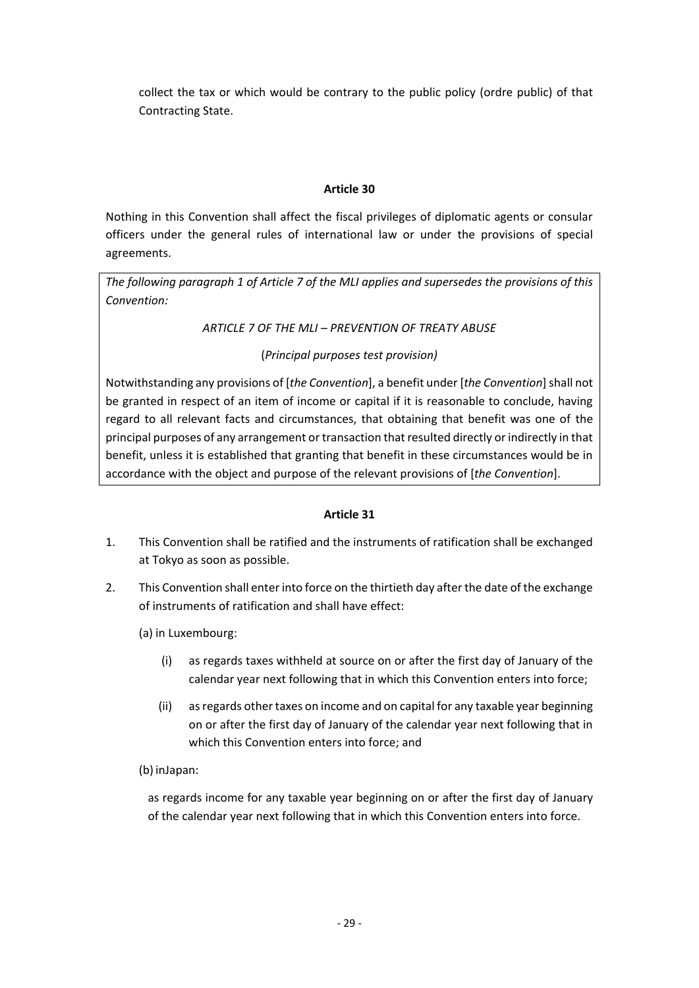collect the tax or which would be contrary to the public policy (ordre public) of that Contracting State.

# **Article 30**

Nothing in this Convention shall affect the fiscal privileges of diplomatic agents or consular officers under the general rules of international law or under the provisions of special agreements.

*The following paragraph 1 of Article 7 of the MLI applies and supersedes the provisions of this Convention:*

*ARTICLE 7 OF THE MLI – PREVENTION OF TREATY ABUSE*

(*Principal purposes test provision)*

Notwithstanding any provisions of [*the Convention*], a benefit under [*the Convention*] shall not be granted in respect of an item of income or capital if it is reasonable to conclude, having regard to all relevant facts and circumstances, that obtaining that benefit was one of the principal purposes of any arrangement or transaction that resulted directly or indirectly in that benefit, unless it is established that granting that benefit in these circumstances would be in accordance with the object and purpose of the relevant provisions of [*the Convention*].

# **Article 31**

- 1. This Convention shall be ratified and the instruments of ratification shall be exchanged at Tokyo as soon as possible.
- 2. This Convention shall enter into force on the thirtieth day after the date of the exchange of instruments of ratification and shall have effect:
	- (a) in Luxembourg:
		- (i) as regards taxes withheld at source on or after the first day of January of the calendar year next following that in which this Convention enters into force;
		- (ii) as regards other taxes on income and on capital for any taxable year beginning on or after the first day of January of the calendar year next following that in which this Convention enters into force; and
	- (b) inJapan:

as regards income for any taxable year beginning on or after the first day of January of the calendar year next following that in which this Convention enters into force.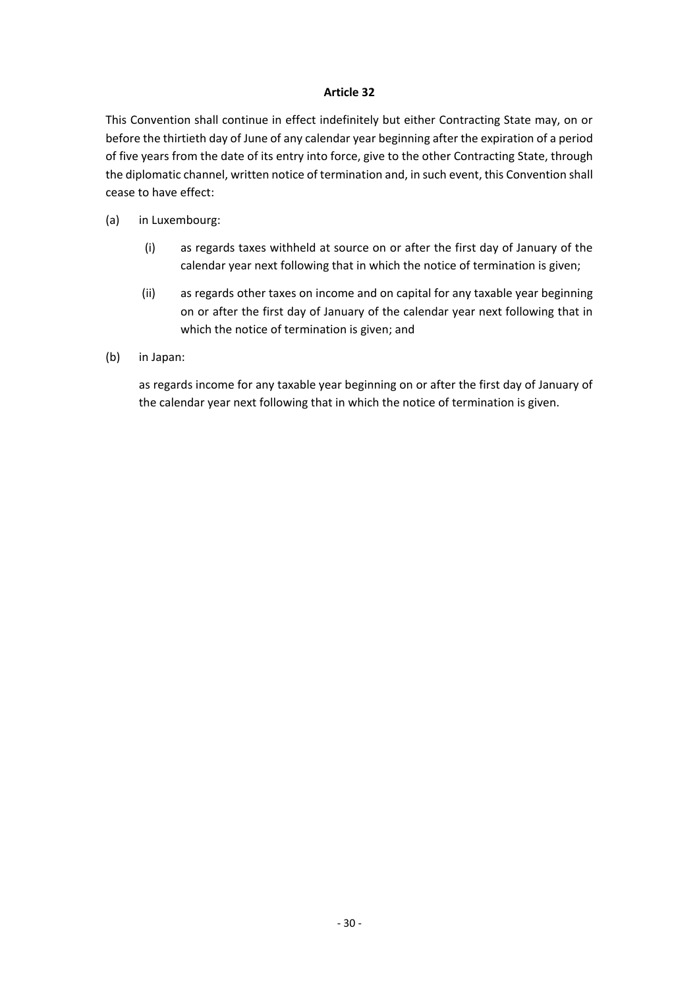This Convention shall continue in effect indefinitely but either Contracting State may, on or before the thirtieth day of June of any calendar year beginning after the expiration of a period of five years from the date of its entry into force, give to the other Contracting State, through the diplomatic channel, written notice of termination and, in such event, this Convention shall cease to have effect:

- (a) in Luxembourg:
	- (i) as regards taxes withheld at source on or after the first day of January of the calendar year next following that in which the notice of termination is given;
	- (ii) as regards other taxes on income and on capital for any taxable year beginning on or after the first day of January of the calendar year next following that in which the notice of termination is given; and
- (b) in Japan:

as regards income for any taxable year beginning on or after the first day of January of the calendar year next following that in which the notice of termination is given.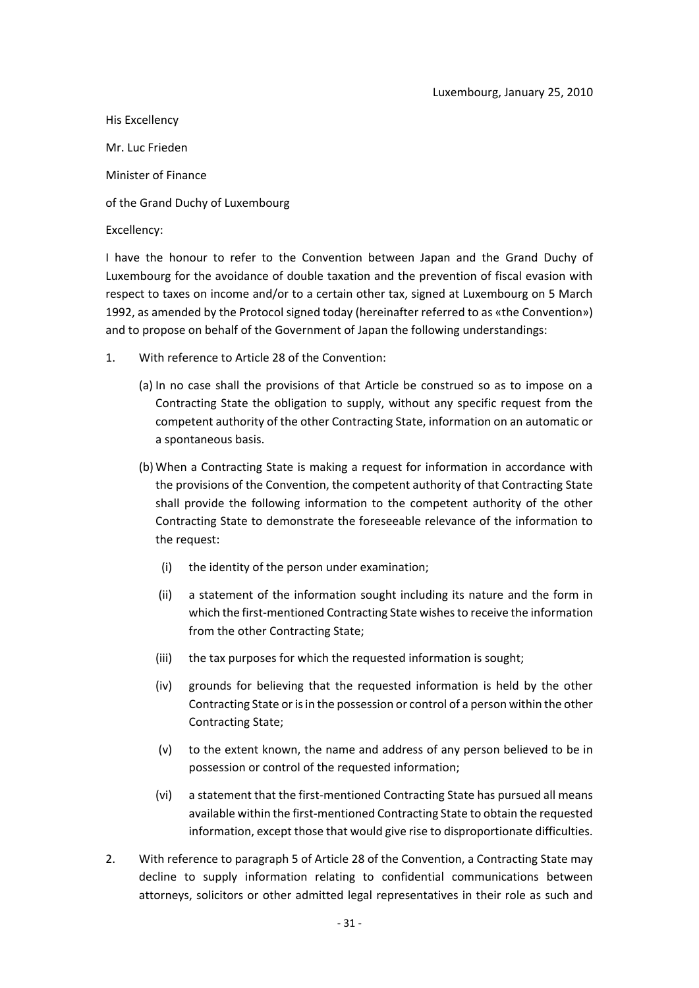His Excellency Mr. Luc Frieden Minister of Finance of the Grand Duchy of Luxembourg Excellency:

I have the honour to refer to the Convention between Japan and the Grand Duchy of Luxembourg for the avoidance of double taxation and the prevention of fiscal evasion with respect to taxes on income and/or to a certain other tax, signed at Luxembourg on 5 March 1992, as amended by the Protocol signed today (hereinafter referred to as «the Convention») and to propose on behalf of the Government of Japan the following understandings:

- 1. With reference to Article 28 of the Convention:
	- (a) In no case shall the provisions of that Article be construed so as to impose on a Contracting State the obligation to supply, without any specific request from the competent authority of the other Contracting State, information on an automatic or a spontaneous basis.
	- (b) When a Contracting State is making a request for information in accordance with the provisions of the Convention, the competent authority of that Contracting State shall provide the following information to the competent authority of the other Contracting State to demonstrate the foreseeable relevance of the information to the request:
		- (i) the identity of the person under examination;
		- (ii) a statement of the information sought including its nature and the form in which the first-mentioned Contracting State wishes to receive the information from the other Contracting State;
		- (iii) the tax purposes for which the requested information is sought;
		- (iv) grounds for believing that the requested information is held by the other Contracting State or is in the possession or control of a person within the other Contracting State;
		- (v) to the extent known, the name and address of any person believed to be in possession or control of the requested information;
		- (vi) a statement that the first-mentioned Contracting State has pursued all means available within the first-mentioned Contracting State to obtain the requested information, except those that would give rise to disproportionate difficulties.
- 2. With reference to paragraph 5 of Article 28 of the Convention, a Contracting State may decline to supply information relating to confidential communications between attorneys, solicitors or other admitted legal representatives in their role as such and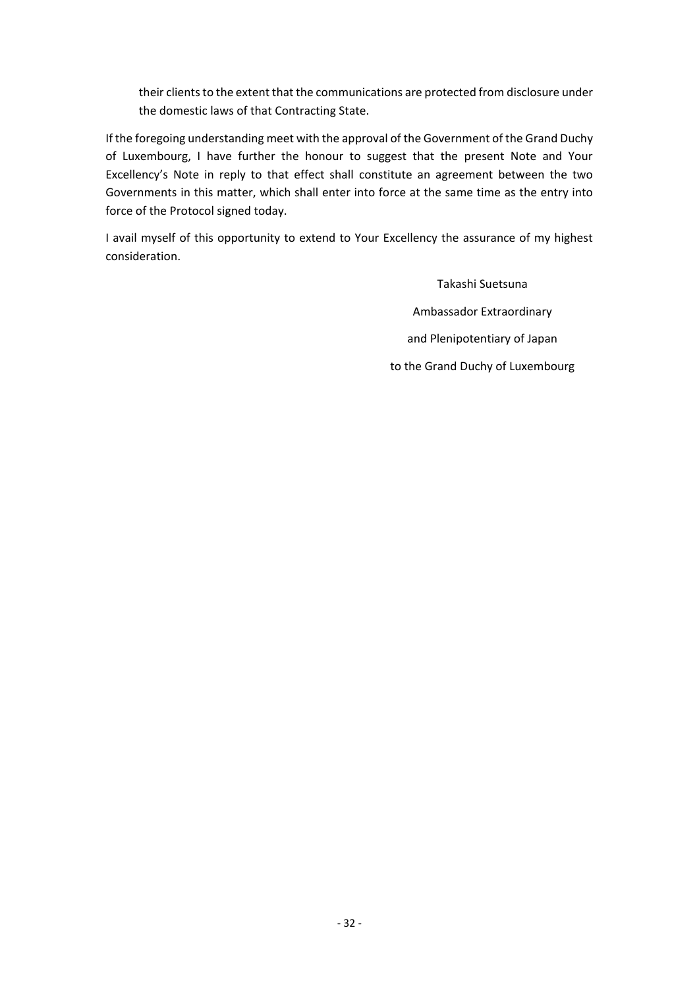their clients to the extent that the communications are protected from disclosure under the domestic laws of that Contracting State.

If the foregoing understanding meet with the approval of the Government of the Grand Duchy of Luxembourg, I have further the honour to suggest that the present Note and Your Excellency's Note in reply to that effect shall constitute an agreement between the two Governments in this matter, which shall enter into force at the same time as the entry into force of the Protocol signed today.

I avail myself of this opportunity to extend to Your Excellency the assurance of my highest consideration.

> Takashi Suetsuna Ambassador Extraordinary and Plenipotentiary of Japan to the Grand Duchy of Luxembourg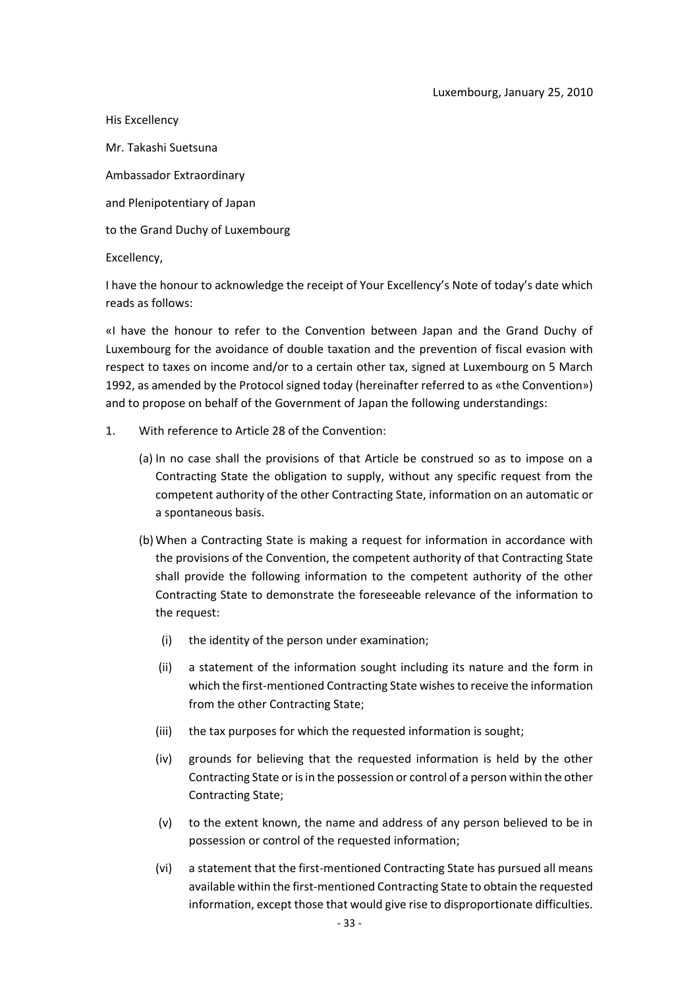His Excellency Mr. Takashi Suetsuna Ambassador Extraordinary and Plenipotentiary of Japan to the Grand Duchy of Luxembourg Excellency,

I have the honour to acknowledge the receipt of Your Excellency's Note of today's date which reads as follows:

«I have the honour to refer to the Convention between Japan and the Grand Duchy of Luxembourg for the avoidance of double taxation and the prevention of fiscal evasion with respect to taxes on income and/or to a certain other tax, signed at Luxembourg on 5 March 1992, as amended by the Protocol signed today (hereinafter referred to as «the Convention») and to propose on behalf of the Government of Japan the following understandings:

- 1. With reference to Article 28 of the Convention:
	- (a) In no case shall the provisions of that Article be construed so as to impose on a Contracting State the obligation to supply, without any specific request from the competent authority of the other Contracting State, information on an automatic or a spontaneous basis.
	- (b) When a Contracting State is making a request for information in accordance with the provisions of the Convention, the competent authority of that Contracting State shall provide the following information to the competent authority of the other Contracting State to demonstrate the foreseeable relevance of the information to the request:
		- (i) the identity of the person under examination;
		- (ii) a statement of the information sought including its nature and the form in which the first-mentioned Contracting State wishes to receive the information from the other Contracting State;
		- (iii) the tax purposes for which the requested information is sought;
		- (iv) grounds for believing that the requested information is held by the other Contracting State or is in the possession or control of a person within the other Contracting State;
		- (v) to the extent known, the name and address of any person believed to be in possession or control of the requested information;
		- (vi) a statement that the first-mentioned Contracting State has pursued all means available within the first-mentioned Contracting State to obtain the requested information, except those that would give rise to disproportionate difficulties.